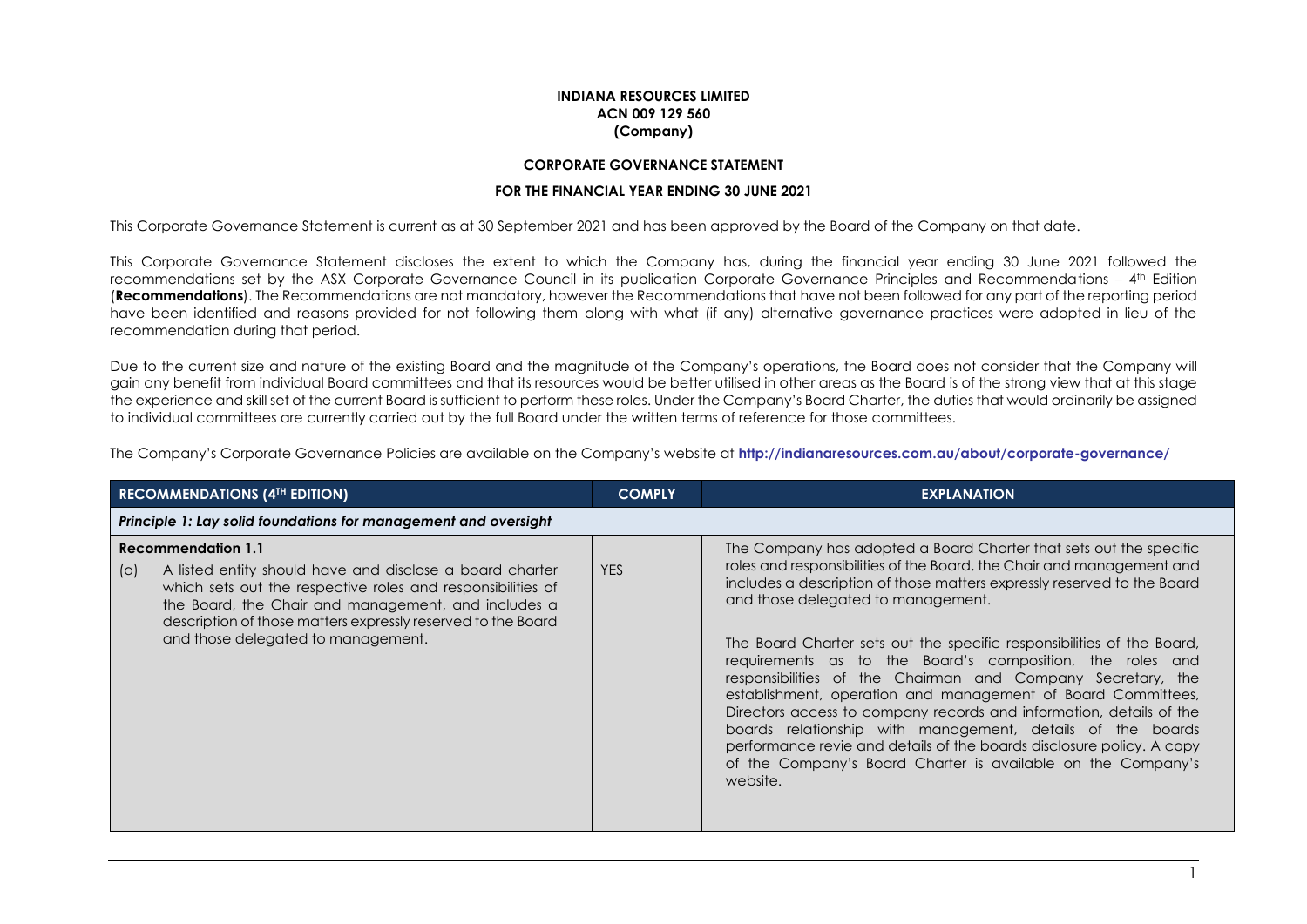## **INDIANA RESOURCES LIMITED ACN 009 129 560 (Company)**

## **CORPORATE GOVERNANCE STATEMENT**

#### **FOR THE FINANCIAL YEAR ENDING 30 JUNE 2021**

This Corporate Governance Statement is current as at 30 September 2021 and has been approved by the Board of the Company on that date.

This Corporate Governance Statement discloses the extent to which the Company has, during the financial year ending 30 June 2021 followed the recommendations set by the ASX Corporate Governance Council in its publication Corporate Governance Principles and Recommendations – 4 th Edition (**Recommendations**). The Recommendations are not mandatory, however the Recommendations that have not been followed for any part of the reporting period have been identified and reasons provided for not following them along with what (if any) alternative governance practices were adopted in lieu of the recommendation during that period.

Due to the current size and nature of the existing Board and the magnitude of the Company's operations, the Board does not consider that the Company will gain any benefit from individual Board committees and that its resources would be better utilised in other areas as the Board is of the strong view that at this stage the experience and skill set of the current Board is sufficient to perform these roles. Under the Company's Board Charter, the duties that would ordinarily be assigned to individual committees are currently carried out by the full Board under the written terms of reference for those committees.

The Company's Corporate Governance Policies are available on the Company's website at **<http://indianaresources.com.au/about/corporate-governance/>**

| <b>RECOMMENDATIONS (4TH EDITION)</b> |                                                                                                                                                                                                                                                                                                                   | <b>COMPLY</b> | <b>EXPLANATION</b>                                                                                                                                                                                                                                                                                                                                                                                                                                                                                                                                                                                                                                                                                                                                                                                                           |
|--------------------------------------|-------------------------------------------------------------------------------------------------------------------------------------------------------------------------------------------------------------------------------------------------------------------------------------------------------------------|---------------|------------------------------------------------------------------------------------------------------------------------------------------------------------------------------------------------------------------------------------------------------------------------------------------------------------------------------------------------------------------------------------------------------------------------------------------------------------------------------------------------------------------------------------------------------------------------------------------------------------------------------------------------------------------------------------------------------------------------------------------------------------------------------------------------------------------------------|
|                                      | Principle 1: Lay solid foundations for management and oversight                                                                                                                                                                                                                                                   |               |                                                                                                                                                                                                                                                                                                                                                                                                                                                                                                                                                                                                                                                                                                                                                                                                                              |
| (a)                                  | <b>Recommendation 1.1</b><br>A listed entity should have and disclose a board charter<br>which sets out the respective roles and responsibilities of<br>the Board, the Chair and management, and includes a<br>description of those matters expressly reserved to the Board<br>and those delegated to management. | <b>YES</b>    | The Company has adopted a Board Charter that sets out the specific<br>roles and responsibilities of the Board, the Chair and management and<br>includes a description of those matters expressly reserved to the Board<br>and those delegated to management.<br>The Board Charter sets out the specific responsibilities of the Board,<br>requirements as to the Board's composition, the roles and<br>responsibilities of the Chairman and Company Secretary, the<br>establishment, operation and management of Board Committees,<br>Directors access to company records and information, details of the<br>boards relationship with management, details of the boards<br>performance revie and details of the boards disclosure policy. A copy<br>of the Company's Board Charter is available on the Company's<br>website. |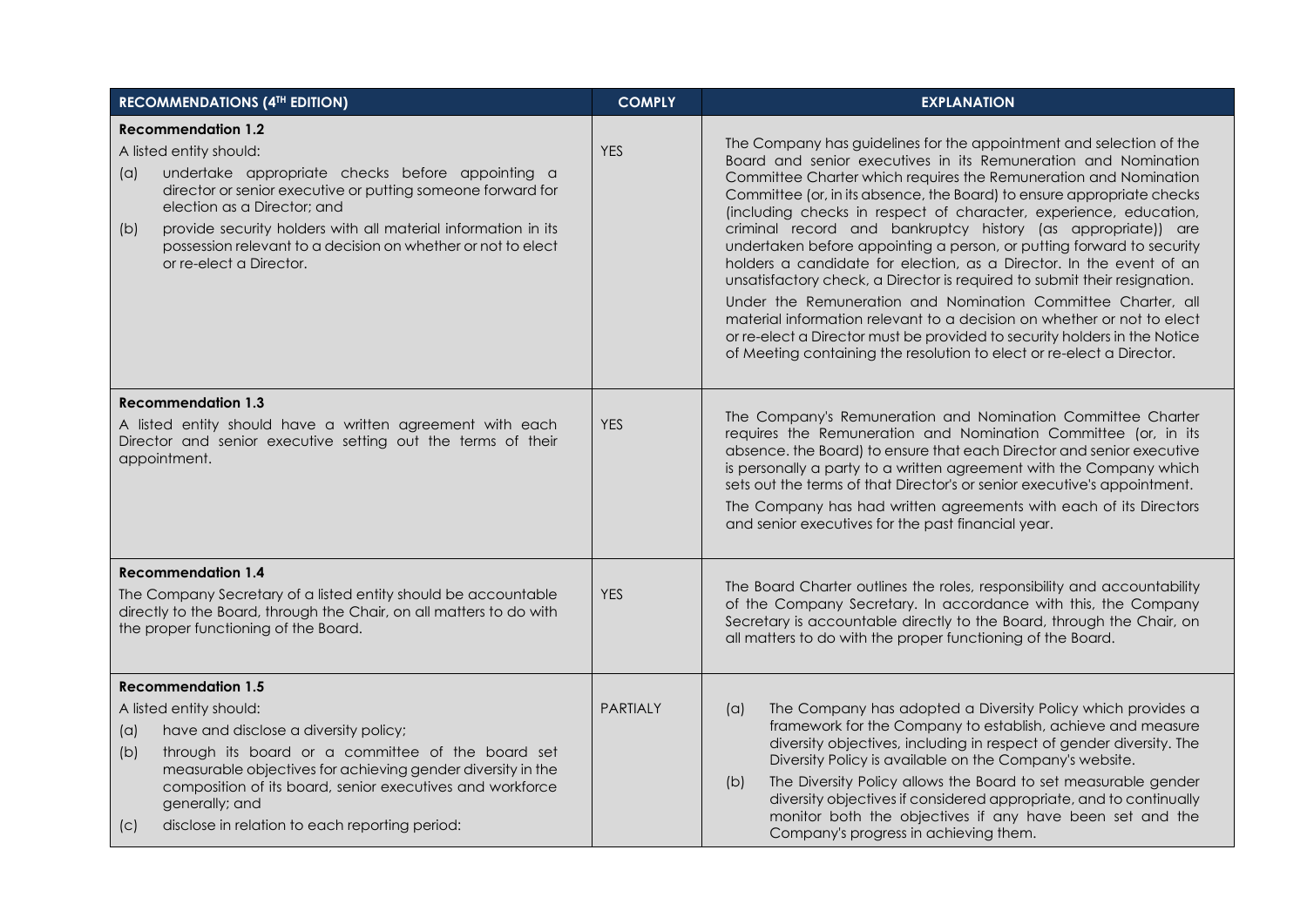| <b>RECOMMENDATIONS (4TH EDITION)</b>                                                                                                                                                                                                                                                                                                                                             | <b>COMPLY</b>   | <b>EXPLANATION</b>                                                                                                                                                                                                                                                                                                                                                                                                                                                                                                                                                                                                                                                                                                                                                                                                                                                                                                                                    |
|----------------------------------------------------------------------------------------------------------------------------------------------------------------------------------------------------------------------------------------------------------------------------------------------------------------------------------------------------------------------------------|-----------------|-------------------------------------------------------------------------------------------------------------------------------------------------------------------------------------------------------------------------------------------------------------------------------------------------------------------------------------------------------------------------------------------------------------------------------------------------------------------------------------------------------------------------------------------------------------------------------------------------------------------------------------------------------------------------------------------------------------------------------------------------------------------------------------------------------------------------------------------------------------------------------------------------------------------------------------------------------|
| <b>Recommendation 1.2</b><br>A listed entity should:<br>undertake appropriate checks before appointing a<br>(a)<br>director or senior executive or putting someone forward for<br>election as a Director; and<br>provide security holders with all material information in its<br>(b)<br>possession relevant to a decision on whether or not to elect<br>or re-elect a Director. | <b>YES</b>      | The Company has guidelines for the appointment and selection of the<br>Board and senior executives in its Remuneration and Nomination<br>Committee Charter which requires the Remuneration and Nomination<br>Committee (or, in its absence, the Board) to ensure appropriate checks<br>(including checks in respect of character, experience, education,<br>criminal record and bankruptcy history (as appropriate)) are<br>undertaken before appointing a person, or putting forward to security<br>holders a candidate for election, as a Director. In the event of an<br>unsatisfactory check, a Director is required to submit their resignation.<br>Under the Remuneration and Nomination Committee Charter, all<br>material information relevant to a decision on whether or not to elect<br>or re-elect a Director must be provided to security holders in the Notice<br>of Meeting containing the resolution to elect or re-elect a Director. |
| <b>Recommendation 1.3</b><br>A listed entity should have a written agreement with each<br>Director and senior executive setting out the terms of their<br>appointment.                                                                                                                                                                                                           | <b>YES</b>      | The Company's Remuneration and Nomination Committee Charter<br>requires the Remuneration and Nomination Committee (or, in its<br>absence. the Board) to ensure that each Director and senior executive<br>is personally a party to a written agreement with the Company which<br>sets out the terms of that Director's or senior executive's appointment.<br>The Company has had written agreements with each of its Directors<br>and senior executives for the past financial year.                                                                                                                                                                                                                                                                                                                                                                                                                                                                  |
| <b>Recommendation 1.4</b><br>The Company Secretary of a listed entity should be accountable<br>directly to the Board, through the Chair, on all matters to do with<br>the proper functioning of the Board.                                                                                                                                                                       | <b>YES</b>      | The Board Charter outlines the roles, responsibility and accountability<br>of the Company Secretary. In accordance with this, the Company<br>Secretary is accountable directly to the Board, through the Chair, on<br>all matters to do with the proper functioning of the Board.                                                                                                                                                                                                                                                                                                                                                                                                                                                                                                                                                                                                                                                                     |
| <b>Recommendation 1.5</b><br>A listed entity should:<br>have and disclose a diversity policy;<br>$(\alpha)$<br>through its board or a committee of the board set<br>(b)<br>measurable objectives for achieving gender diversity in the<br>composition of its board, senior executives and workforce<br>generally; and<br>disclose in relation to each reporting period:<br>(C)   | <b>PARTIALY</b> | The Company has adopted a Diversity Policy which provides a<br>(a)<br>framework for the Company to establish, achieve and measure<br>diversity objectives, including in respect of gender diversity. The<br>Diversity Policy is available on the Company's website.<br>The Diversity Policy allows the Board to set measurable gender<br>(b)<br>diversity objectives if considered appropriate, and to continually<br>monitor both the objectives if any have been set and the<br>Company's progress in achieving them.                                                                                                                                                                                                                                                                                                                                                                                                                               |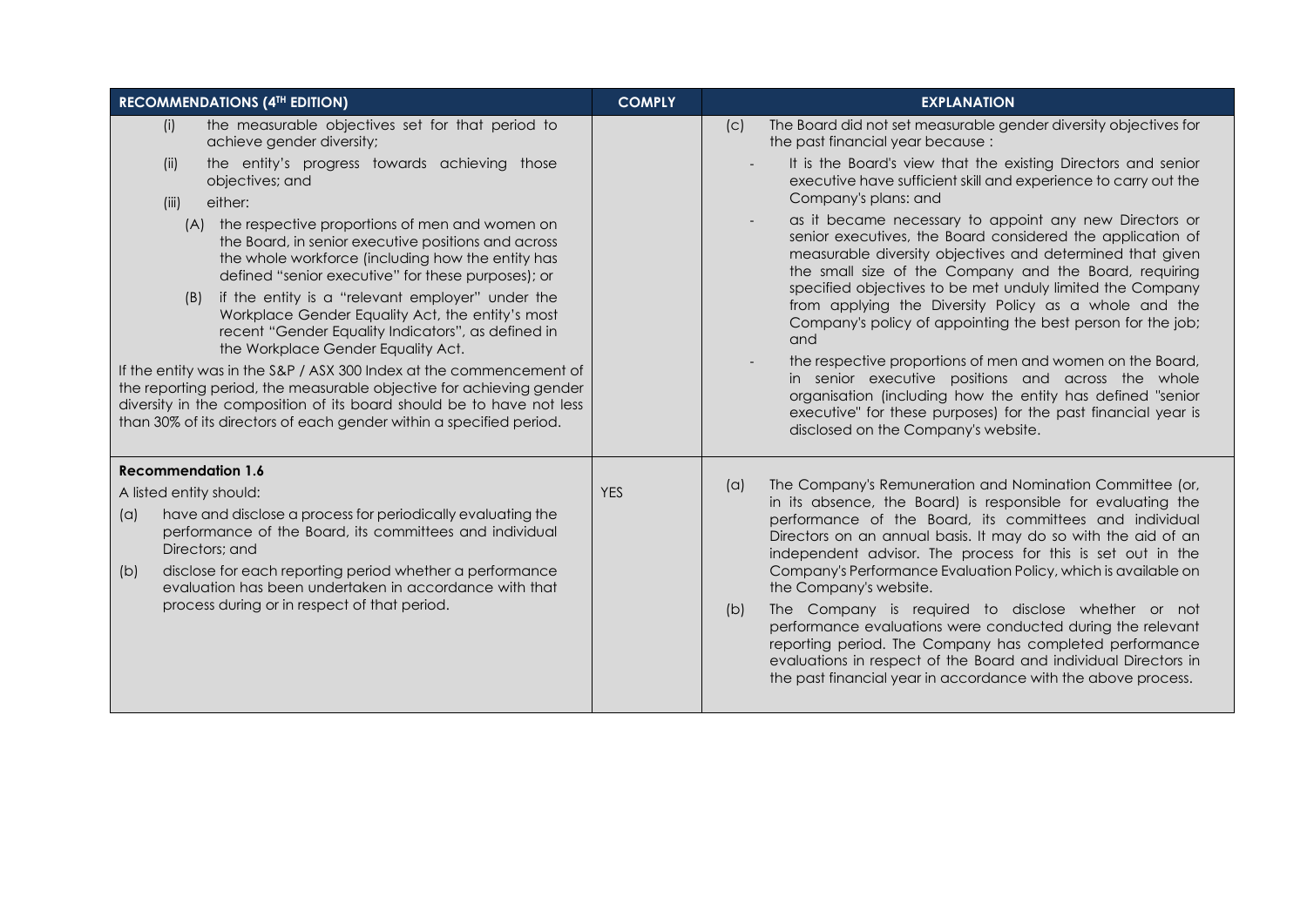| <b>RECOMMENDATIONS (4TH EDITION)</b>                                                                                                                                                                                                                                                                                                                                                                                                                                                                                                                                                                                                                                                                                            | <b>COMPLY</b> | <b>EXPLANATION</b>                                                                                                                                                                                                                                                                                                                                                                                                                                                                                                                                                                                                                                                                                                               |
|---------------------------------------------------------------------------------------------------------------------------------------------------------------------------------------------------------------------------------------------------------------------------------------------------------------------------------------------------------------------------------------------------------------------------------------------------------------------------------------------------------------------------------------------------------------------------------------------------------------------------------------------------------------------------------------------------------------------------------|---------------|----------------------------------------------------------------------------------------------------------------------------------------------------------------------------------------------------------------------------------------------------------------------------------------------------------------------------------------------------------------------------------------------------------------------------------------------------------------------------------------------------------------------------------------------------------------------------------------------------------------------------------------------------------------------------------------------------------------------------------|
| the measurable objectives set for that period to<br>(i)<br>achieve gender diversity;                                                                                                                                                                                                                                                                                                                                                                                                                                                                                                                                                                                                                                            |               | The Board did not set measurable gender diversity objectives for<br>(C)<br>the past financial year because:                                                                                                                                                                                                                                                                                                                                                                                                                                                                                                                                                                                                                      |
| the entity's progress towards achieving those<br>(ii)<br>objectives; and<br>either:<br>(iii)                                                                                                                                                                                                                                                                                                                                                                                                                                                                                                                                                                                                                                    |               | It is the Board's view that the existing Directors and senior<br>executive have sufficient skill and experience to carry out the<br>Company's plans: and                                                                                                                                                                                                                                                                                                                                                                                                                                                                                                                                                                         |
| the respective proportions of men and women on<br>(A)<br>the Board, in senior executive positions and across<br>the whole workforce (including how the entity has<br>defined "senior executive" for these purposes); or<br>if the entity is a "relevant employer" under the<br>(B)<br>Workplace Gender Equality Act, the entity's most<br>recent "Gender Equality Indicators", as defined in<br>the Workplace Gender Equality Act.<br>If the entity was in the S&P / ASX 300 Index at the commencement of<br>the reporting period, the measurable objective for achieving gender<br>diversity in the composition of its board should be to have not less<br>than 30% of its directors of each gender within a specified period. |               | as it became necessary to appoint any new Directors or<br>senior executives, the Board considered the application of<br>measurable diversity objectives and determined that given<br>the small size of the Company and the Board, requiring<br>specified objectives to be met unduly limited the Company<br>from applying the Diversity Policy as a whole and the<br>Company's policy of appointing the best person for the job;<br>and<br>the respective proportions of men and women on the Board,<br>in senior executive positions and across the whole<br>organisation (including how the entity has defined "senior<br>executive" for these purposes) for the past financial year is<br>disclosed on the Company's website. |
| <b>Recommendation 1.6</b>                                                                                                                                                                                                                                                                                                                                                                                                                                                                                                                                                                                                                                                                                                       |               | The Company's Remuneration and Nomination Committee (or,                                                                                                                                                                                                                                                                                                                                                                                                                                                                                                                                                                                                                                                                         |
| A listed entity should:<br>have and disclose a process for periodically evaluating the<br>(a)<br>performance of the Board, its committees and individual<br>Directors; and<br>disclose for each reporting period whether a performance<br>(b)<br>evaluation has been undertaken in accordance with that<br>process during or in respect of that period.                                                                                                                                                                                                                                                                                                                                                                         | <b>YES</b>    | (a)<br>in its absence, the Board) is responsible for evaluating the<br>performance of the Board, its committees and individual<br>Directors on an annual basis. It may do so with the aid of an<br>independent advisor. The process for this is set out in the<br>Company's Performance Evaluation Policy, which is available on<br>the Company's website.<br>The Company is required to disclose whether or not<br>(b)<br>performance evaluations were conducted during the relevant<br>reporting period. The Company has completed performance<br>evaluations in respect of the Board and individual Directors in                                                                                                              |
|                                                                                                                                                                                                                                                                                                                                                                                                                                                                                                                                                                                                                                                                                                                                 |               | the past financial year in accordance with the above process.                                                                                                                                                                                                                                                                                                                                                                                                                                                                                                                                                                                                                                                                    |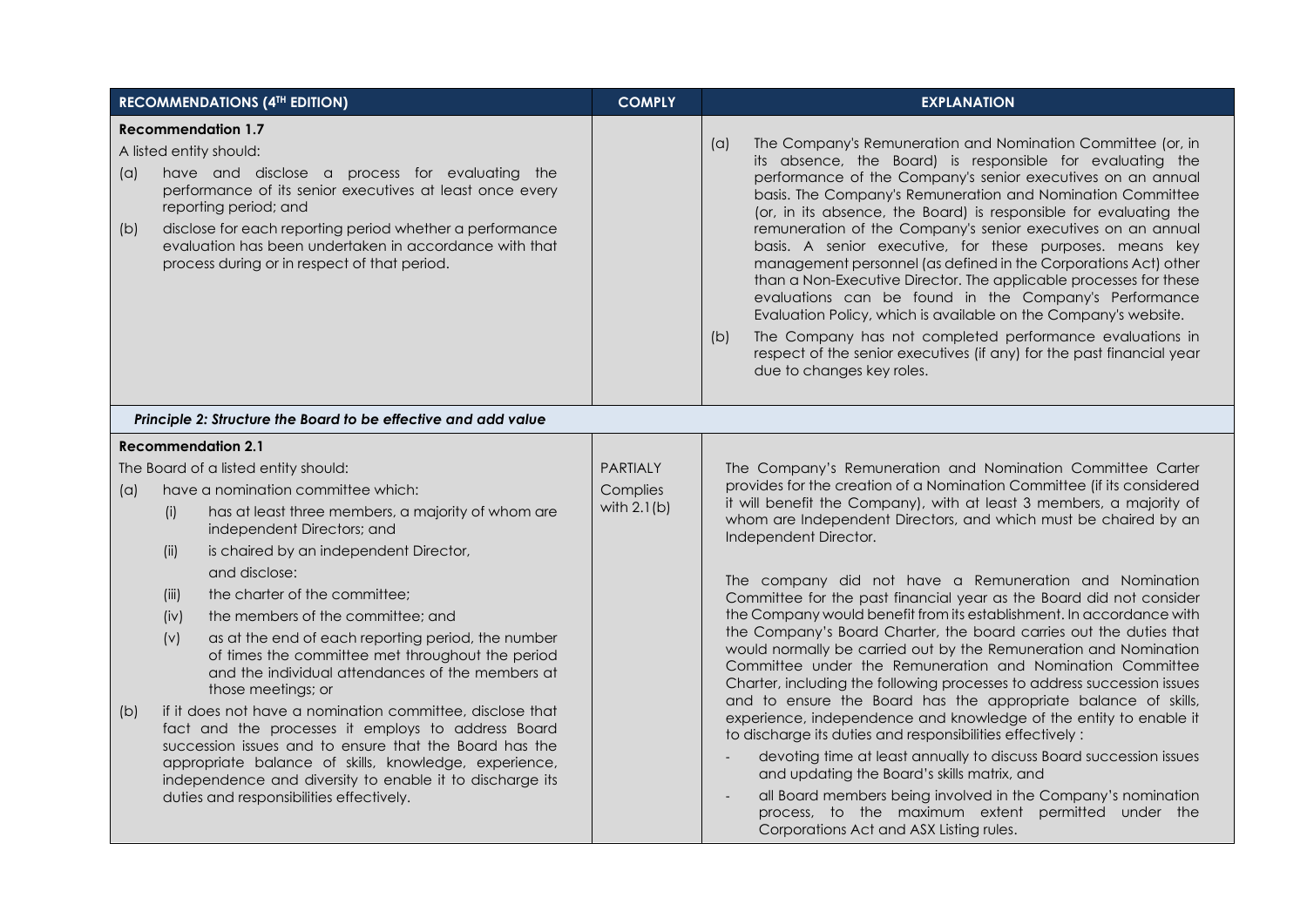|            | <b>RECOMMENDATIONS (4TH EDITION)</b>                                                                                                                                                                                                                                                                                                                                                                                                                                                                                                          | <b>COMPLY</b>                                | <b>EXPLANATION</b>                                                                                                                                                                                                                                                                                                                                                                                                                                                                                                                                                                                                                                                                                                                                                                                                                                                                                         |
|------------|-----------------------------------------------------------------------------------------------------------------------------------------------------------------------------------------------------------------------------------------------------------------------------------------------------------------------------------------------------------------------------------------------------------------------------------------------------------------------------------------------------------------------------------------------|----------------------------------------------|------------------------------------------------------------------------------------------------------------------------------------------------------------------------------------------------------------------------------------------------------------------------------------------------------------------------------------------------------------------------------------------------------------------------------------------------------------------------------------------------------------------------------------------------------------------------------------------------------------------------------------------------------------------------------------------------------------------------------------------------------------------------------------------------------------------------------------------------------------------------------------------------------------|
| (a)<br>(b) | <b>Recommendation 1.7</b><br>A listed entity should:<br>have and disclose a process for evaluating the<br>performance of its senior executives at least once every<br>reporting period; and<br>disclose for each reporting period whether a performance<br>evaluation has been undertaken in accordance with that<br>process during or in respect of that period.                                                                                                                                                                             |                                              | The Company's Remuneration and Nomination Committee (or, in<br>(a)<br>its absence, the Board) is responsible for evaluating the<br>performance of the Company's senior executives on an annual<br>basis. The Company's Remuneration and Nomination Committee<br>(or, in its absence, the Board) is responsible for evaluating the<br>remuneration of the Company's senior executives on an annual<br>basis. A senior executive, for these purposes. means key<br>management personnel (as defined in the Corporations Act) other<br>than a Non-Executive Director. The applicable processes for these<br>evaluations can be found in the Company's Performance<br>Evaluation Policy, which is available on the Company's website.<br>The Company has not completed performance evaluations in<br>(b)<br>respect of the senior executives (if any) for the past financial year<br>due to changes key roles. |
|            | Principle 2: Structure the Board to be effective and add value                                                                                                                                                                                                                                                                                                                                                                                                                                                                                |                                              |                                                                                                                                                                                                                                                                                                                                                                                                                                                                                                                                                                                                                                                                                                                                                                                                                                                                                                            |
|            | <b>Recommendation 2.1</b>                                                                                                                                                                                                                                                                                                                                                                                                                                                                                                                     |                                              |                                                                                                                                                                                                                                                                                                                                                                                                                                                                                                                                                                                                                                                                                                                                                                                                                                                                                                            |
| (a)        | The Board of a listed entity should:<br>have a nomination committee which:<br>has at least three members, a majority of whom are<br>(i)<br>independent Directors; and<br>is chaired by an independent Director,<br>(ii)<br>and disclose:<br>the charter of the committee;<br>(iii)<br>the members of the committee; and                                                                                                                                                                                                                       | <b>PARTIALY</b><br>Complies<br>with $2.1(b)$ | The Company's Remuneration and Nomination Committee Carter<br>provides for the creation of a Nomination Committee (if its considered<br>it will benefit the Company), with at least 3 members, a majority of<br>whom are Independent Directors, and which must be chaired by an<br>Independent Director.<br>The company did not have a Remuneration and Nomination<br>Committee for the past financial year as the Board did not consider<br>the Company would benefit from its establishment. In accordance with                                                                                                                                                                                                                                                                                                                                                                                          |
| (b)        | (iv)<br>as at the end of each reporting period, the number<br>(v)<br>of times the committee met throughout the period<br>and the individual attendances of the members at<br>those meetings; or<br>if it does not have a nomination committee, disclose that<br>fact and the processes it employs to address Board<br>succession issues and to ensure that the Board has the<br>appropriate balance of skills, knowledge, experience,<br>independence and diversity to enable it to discharge its<br>duties and responsibilities effectively. |                                              | the Company's Board Charter, the board carries out the duties that<br>would normally be carried out by the Remuneration and Nomination<br>Committee under the Remuneration and Nomination Committee<br>Charter, including the following processes to address succession issues<br>and to ensure the Board has the appropriate balance of skills,<br>experience, independence and knowledge of the entity to enable it<br>to discharge its duties and responsibilities effectively:<br>devoting time at least annually to discuss Board succession issues<br>and updating the Board's skills matrix, and<br>all Board members being involved in the Company's nomination<br>process, to the maximum extent permitted under the<br>Corporations Act and ASX Listing rules.                                                                                                                                   |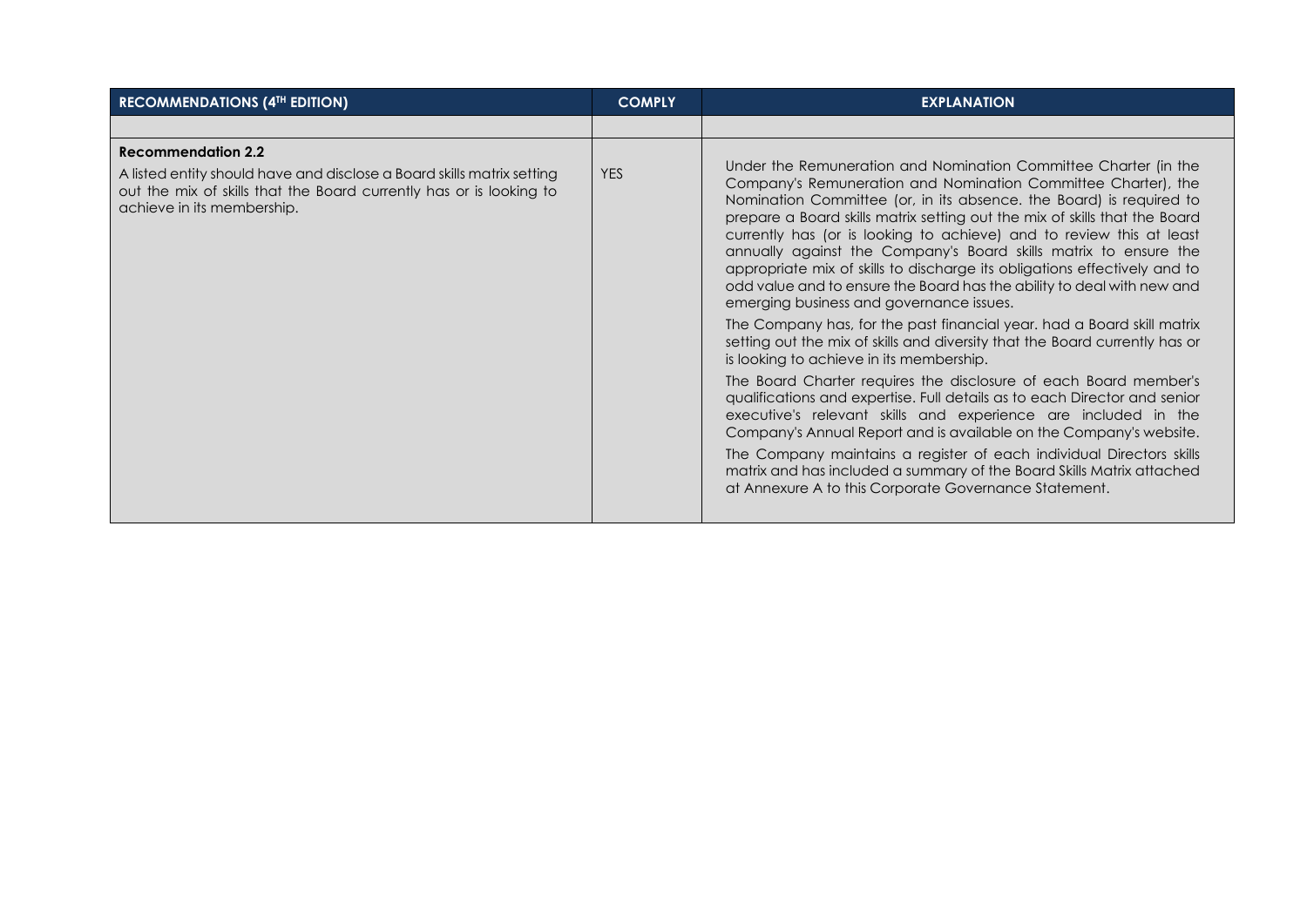| <b>RECOMMENDATIONS (4TH EDITION)</b>                                                                                                                                                                     | <b>COMPLY</b> | <b>EXPLANATION</b>                                                                                                                                                                                                                                                                                                                                                                                                                                                                                                                                                                                                                                                                                                                                                                                                                                                                                                                                                                                                                                                                                                                                                                                                                                                                                                                           |
|----------------------------------------------------------------------------------------------------------------------------------------------------------------------------------------------------------|---------------|----------------------------------------------------------------------------------------------------------------------------------------------------------------------------------------------------------------------------------------------------------------------------------------------------------------------------------------------------------------------------------------------------------------------------------------------------------------------------------------------------------------------------------------------------------------------------------------------------------------------------------------------------------------------------------------------------------------------------------------------------------------------------------------------------------------------------------------------------------------------------------------------------------------------------------------------------------------------------------------------------------------------------------------------------------------------------------------------------------------------------------------------------------------------------------------------------------------------------------------------------------------------------------------------------------------------------------------------|
|                                                                                                                                                                                                          |               |                                                                                                                                                                                                                                                                                                                                                                                                                                                                                                                                                                                                                                                                                                                                                                                                                                                                                                                                                                                                                                                                                                                                                                                                                                                                                                                                              |
| <b>Recommendation 2.2</b><br>A listed entity should have and disclose a Board skills matrix setting<br>out the mix of skills that the Board currently has or is looking to<br>achieve in its membership. | <b>YES</b>    | Under the Remuneration and Nomination Committee Charter (in the<br>Company's Remuneration and Nomination Committee Charter), the<br>Nomination Committee (or, in its absence. the Board) is required to<br>prepare a Board skills matrix setting out the mix of skills that the Board<br>currently has (or is looking to achieve) and to review this at least<br>annually against the Company's Board skills matrix to ensure the<br>appropriate mix of skills to discharge its obligations effectively and to<br>odd value and to ensure the Board has the ability to deal with new and<br>emerging business and governance issues.<br>The Company has, for the past financial year. had a Board skill matrix<br>setting out the mix of skills and diversity that the Board currently has or<br>is looking to achieve in its membership.<br>The Board Charter requires the disclosure of each Board member's<br>qualifications and expertise. Full details as to each Director and senior<br>executive's relevant skills and experience are included in the<br>Company's Annual Report and is available on the Company's website.<br>The Company maintains a register of each individual Directors skills<br>matrix and has included a summary of the Board Skills Matrix attached<br>at Annexure A to this Corporate Governance Statement. |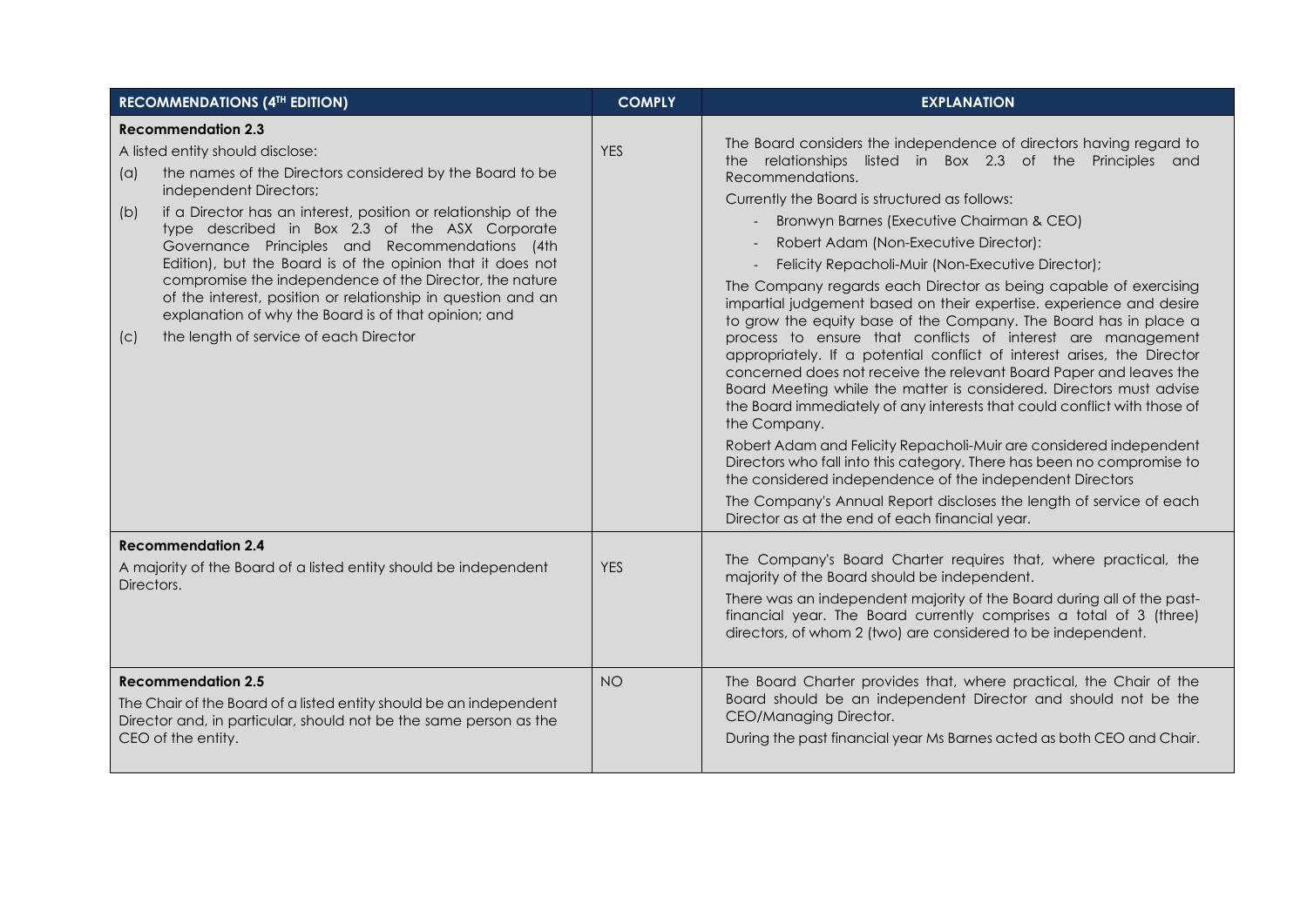| <b>RECOMMENDATIONS (4TH EDITION)</b>                                                                                                                                                                                                                                                                                                                                                                                                                                                                                                                                                                                                      | <b>COMPLY</b> | <b>EXPLANATION</b>                                                                                                                                                                                                                                                                                                                                                                                                                                                                                                                                                                                                                                                                                                                                                                                                                                                                                                                                |
|-------------------------------------------------------------------------------------------------------------------------------------------------------------------------------------------------------------------------------------------------------------------------------------------------------------------------------------------------------------------------------------------------------------------------------------------------------------------------------------------------------------------------------------------------------------------------------------------------------------------------------------------|---------------|---------------------------------------------------------------------------------------------------------------------------------------------------------------------------------------------------------------------------------------------------------------------------------------------------------------------------------------------------------------------------------------------------------------------------------------------------------------------------------------------------------------------------------------------------------------------------------------------------------------------------------------------------------------------------------------------------------------------------------------------------------------------------------------------------------------------------------------------------------------------------------------------------------------------------------------------------|
| <b>Recommendation 2.3</b><br>A listed entity should disclose:<br>the names of the Directors considered by the Board to be<br>(a)<br>independent Directors;<br>if a Director has an interest, position or relationship of the<br>(b)<br>type described in Box 2.3 of the ASX Corporate<br>Governance Principles and Recommendations (4th<br>Edition), but the Board is of the opinion that it does not<br>compromise the independence of the Director, the nature<br>of the interest, position or relationship in question and an<br>explanation of why the Board is of that opinion; and<br>the length of service of each Director<br>(C) | <b>YES</b>    | The Board considers the independence of directors having regard to<br>the relationships listed in Box 2.3 of the Principles and<br>Recommendations.<br>Currently the Board is structured as follows:<br>Bronwyn Barnes (Executive Chairman & CEO)<br>Robert Adam (Non-Executive Director):<br>Felicity Repacholi-Muir (Non-Executive Director);<br>The Company regards each Director as being capable of exercising<br>impartial judgement based on their expertise. experience and desire<br>to grow the equity base of the Company. The Board has in place a<br>process to ensure that conflicts of interest are management<br>appropriately. If a potential conflict of interest arises, the Director<br>concerned does not receive the relevant Board Paper and leaves the<br>Board Meeting while the matter is considered. Directors must advise<br>the Board immediately of any interests that could conflict with those of<br>the Company. |
|                                                                                                                                                                                                                                                                                                                                                                                                                                                                                                                                                                                                                                           |               | Robert Adam and Felicity Repacholi-Muir are considered independent<br>Directors who fall into this category. There has been no compromise to<br>the considered independence of the independent Directors<br>The Company's Annual Report discloses the length of service of each<br>Director as at the end of each financial year.                                                                                                                                                                                                                                                                                                                                                                                                                                                                                                                                                                                                                 |
| <b>Recommendation 2.4</b>                                                                                                                                                                                                                                                                                                                                                                                                                                                                                                                                                                                                                 |               |                                                                                                                                                                                                                                                                                                                                                                                                                                                                                                                                                                                                                                                                                                                                                                                                                                                                                                                                                   |
| A majority of the Board of a listed entity should be independent<br>Directors.                                                                                                                                                                                                                                                                                                                                                                                                                                                                                                                                                            | <b>YES</b>    | The Company's Board Charter requires that, where practical, the<br>majority of the Board should be independent.<br>There was an independent majority of the Board during all of the past-<br>financial year. The Board currently comprises a total of 3 (three)<br>directors, of whom 2 (two) are considered to be independent.                                                                                                                                                                                                                                                                                                                                                                                                                                                                                                                                                                                                                   |
| <b>Recommendation 2.5</b><br>The Chair of the Board of a listed entity should be an independent<br>Director and, in particular, should not be the same person as the<br>CEO of the entity.                                                                                                                                                                                                                                                                                                                                                                                                                                                | <b>NO</b>     | The Board Charter provides that, where practical, the Chair of the<br>Board should be an independent Director and should not be the<br>CEO/Managing Director.<br>During the past financial year Ms Barnes acted as both CEO and Chair.                                                                                                                                                                                                                                                                                                                                                                                                                                                                                                                                                                                                                                                                                                            |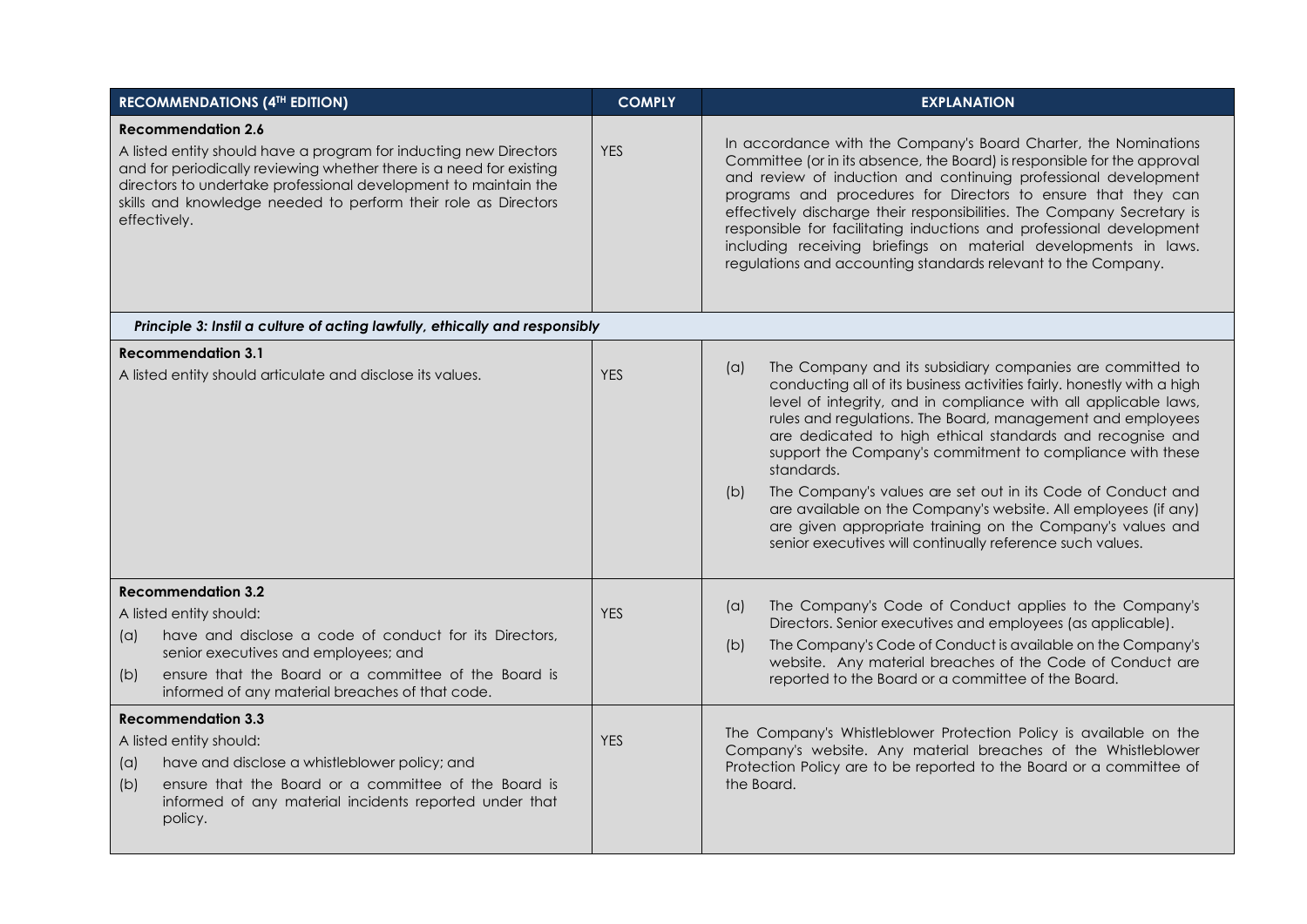| <b>RECOMMENDATIONS (4TH EDITION)</b>                                                                                                                                                                                                                                                                                       | <b>COMPLY</b> | <b>EXPLANATION</b>                                                                                                                                                                                                                                                                                                                                                                                                                                                                                                                                                                                                                                                                     |
|----------------------------------------------------------------------------------------------------------------------------------------------------------------------------------------------------------------------------------------------------------------------------------------------------------------------------|---------------|----------------------------------------------------------------------------------------------------------------------------------------------------------------------------------------------------------------------------------------------------------------------------------------------------------------------------------------------------------------------------------------------------------------------------------------------------------------------------------------------------------------------------------------------------------------------------------------------------------------------------------------------------------------------------------------|
| <b>Recommendation 2.6</b><br>A listed entity should have a program for inducting new Directors<br>and for periodically reviewing whether there is a need for existing<br>directors to undertake professional development to maintain the<br>skills and knowledge needed to perform their role as Directors<br>effectively. | <b>YES</b>    | In accordance with the Company's Board Charter, the Nominations<br>Committee (or in its absence, the Board) is responsible for the approval<br>and review of induction and continuing professional development<br>programs and procedures for Directors to ensure that they can<br>effectively discharge their responsibilities. The Company Secretary is<br>responsible for facilitating inductions and professional development<br>including receiving briefings on material developments in laws.<br>regulations and accounting standards relevant to the Company.                                                                                                                  |
| Principle 3: Instil a culture of acting lawfully, ethically and responsibly                                                                                                                                                                                                                                                |               |                                                                                                                                                                                                                                                                                                                                                                                                                                                                                                                                                                                                                                                                                        |
| <b>Recommendation 3.1</b><br>A listed entity should articulate and disclose its values.                                                                                                                                                                                                                                    | <b>YES</b>    | The Company and its subsidiary companies are committed to<br>(a)<br>conducting all of its business activities fairly. honestly with a high<br>level of integrity, and in compliance with all applicable laws,<br>rules and regulations. The Board, management and employees<br>are dedicated to high ethical standards and recognise and<br>support the Company's commitment to compliance with these<br>standards.<br>The Company's values are set out in its Code of Conduct and<br>(b)<br>are available on the Company's website. All employees (if any)<br>are given appropriate training on the Company's values and<br>senior executives will continually reference such values. |
| <b>Recommendation 3.2</b><br>A listed entity should:<br>have and disclose a code of conduct for its Directors,<br>(a)<br>senior executives and employees; and<br>ensure that the Board or a committee of the Board is<br>(b)<br>informed of any material breaches of that code.                                            | <b>YES</b>    | The Company's Code of Conduct applies to the Company's<br>(a)<br>Directors. Senior executives and employees (as applicable).<br>The Company's Code of Conduct is available on the Company's<br>(b)<br>website. Any material breaches of the Code of Conduct are<br>reported to the Board or a committee of the Board.                                                                                                                                                                                                                                                                                                                                                                  |
| <b>Recommendation 3.3</b><br>A listed entity should:<br>have and disclose a whistleblower policy; and<br>(a)<br>ensure that the Board or a committee of the Board is<br>(b)<br>informed of any material incidents reported under that<br>policy.                                                                           | <b>YES</b>    | The Company's Whistleblower Protection Policy is available on the<br>Company's website. Any material breaches of the Whistleblower<br>Protection Policy are to be reported to the Board or a committee of<br>the Board.                                                                                                                                                                                                                                                                                                                                                                                                                                                                |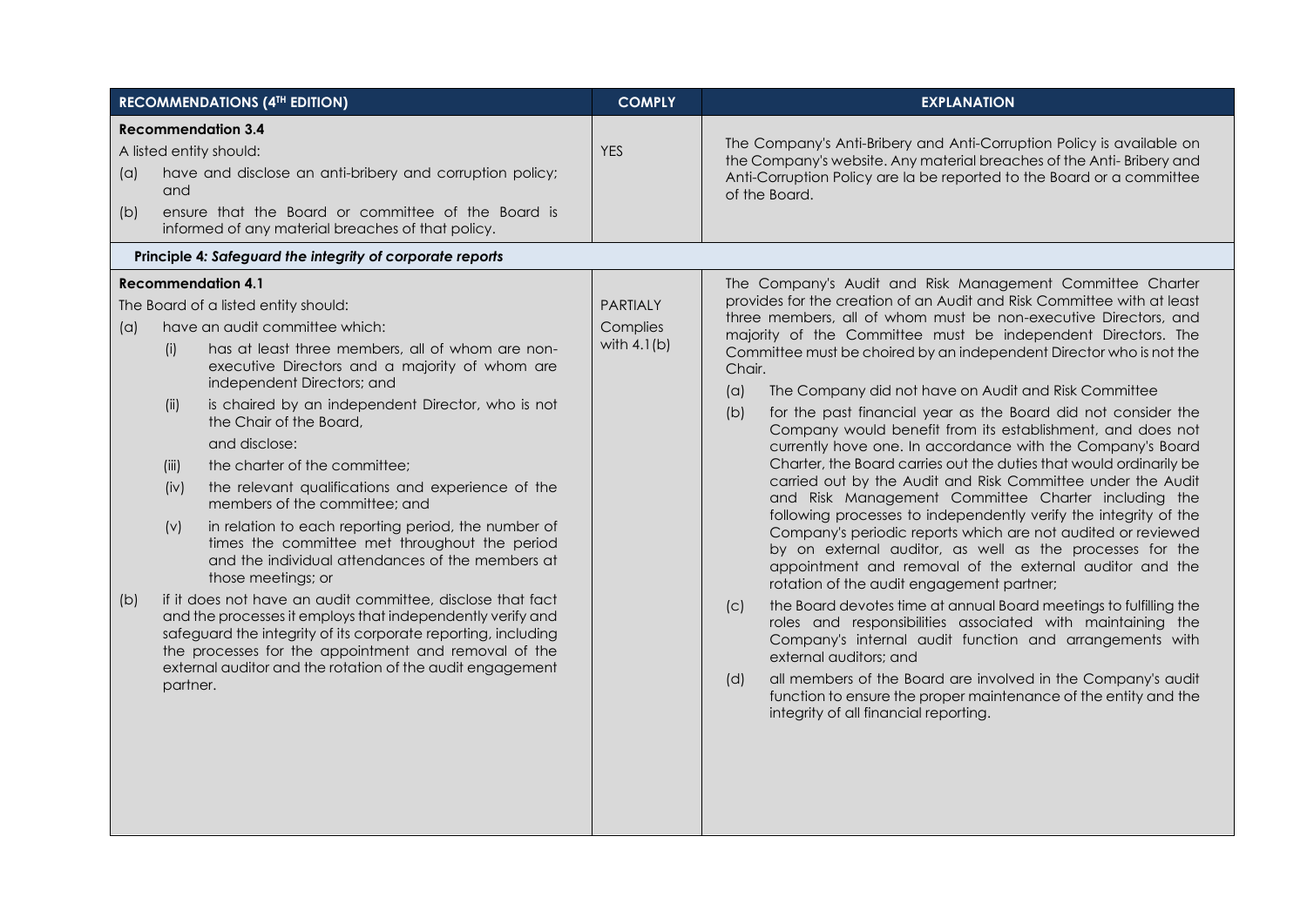| <b>RECOMMENDATIONS (4TH EDITION)</b>                 |                                                  |                                                                                                                                                                                                                                                                                                                                                                                                                                                                                                                                                                                                                                                                                                                                                                                                                                                                                                                                        | <b>COMPLY</b>                                                                                                                                 | <b>EXPLANATION</b>                                                                                                                                                                                                                                                                                                                                                                                                                                                                                                                                                                                                                                                                                                                                                                                                                                                                                                                                                                                                                                                                                                                                                                                                                                                                                                                                                                                                                                                                  |
|------------------------------------------------------|--------------------------------------------------|----------------------------------------------------------------------------------------------------------------------------------------------------------------------------------------------------------------------------------------------------------------------------------------------------------------------------------------------------------------------------------------------------------------------------------------------------------------------------------------------------------------------------------------------------------------------------------------------------------------------------------------------------------------------------------------------------------------------------------------------------------------------------------------------------------------------------------------------------------------------------------------------------------------------------------------|-----------------------------------------------------------------------------------------------------------------------------------------------|-------------------------------------------------------------------------------------------------------------------------------------------------------------------------------------------------------------------------------------------------------------------------------------------------------------------------------------------------------------------------------------------------------------------------------------------------------------------------------------------------------------------------------------------------------------------------------------------------------------------------------------------------------------------------------------------------------------------------------------------------------------------------------------------------------------------------------------------------------------------------------------------------------------------------------------------------------------------------------------------------------------------------------------------------------------------------------------------------------------------------------------------------------------------------------------------------------------------------------------------------------------------------------------------------------------------------------------------------------------------------------------------------------------------------------------------------------------------------------------|
| <b>Recommendation 3.4</b><br>A listed entity should: |                                                  | <b>YES</b>                                                                                                                                                                                                                                                                                                                                                                                                                                                                                                                                                                                                                                                                                                                                                                                                                                                                                                                             | The Company's Anti-Bribery and Anti-Corruption Policy is available on<br>the Company's website. Any material breaches of the Anti-Bribery and |                                                                                                                                                                                                                                                                                                                                                                                                                                                                                                                                                                                                                                                                                                                                                                                                                                                                                                                                                                                                                                                                                                                                                                                                                                                                                                                                                                                                                                                                                     |
| (a)                                                  | and                                              | have and disclose an anti-bribery and corruption policy;                                                                                                                                                                                                                                                                                                                                                                                                                                                                                                                                                                                                                                                                                                                                                                                                                                                                               |                                                                                                                                               | Anti-Corruption Policy are la be reported to the Board or a committee<br>of the Board.                                                                                                                                                                                                                                                                                                                                                                                                                                                                                                                                                                                                                                                                                                                                                                                                                                                                                                                                                                                                                                                                                                                                                                                                                                                                                                                                                                                              |
| (b)                                                  |                                                  | ensure that the Board or committee of the Board is<br>informed of any material breaches of that policy.                                                                                                                                                                                                                                                                                                                                                                                                                                                                                                                                                                                                                                                                                                                                                                                                                                |                                                                                                                                               |                                                                                                                                                                                                                                                                                                                                                                                                                                                                                                                                                                                                                                                                                                                                                                                                                                                                                                                                                                                                                                                                                                                                                                                                                                                                                                                                                                                                                                                                                     |
|                                                      |                                                  | Principle 4: Safeguard the integrity of corporate reports                                                                                                                                                                                                                                                                                                                                                                                                                                                                                                                                                                                                                                                                                                                                                                                                                                                                              |                                                                                                                                               |                                                                                                                                                                                                                                                                                                                                                                                                                                                                                                                                                                                                                                                                                                                                                                                                                                                                                                                                                                                                                                                                                                                                                                                                                                                                                                                                                                                                                                                                                     |
| <b>Recommendation 4.1</b>                            |                                                  |                                                                                                                                                                                                                                                                                                                                                                                                                                                                                                                                                                                                                                                                                                                                                                                                                                                                                                                                        | The Company's Audit and Risk Management Committee Charter                                                                                     |                                                                                                                                                                                                                                                                                                                                                                                                                                                                                                                                                                                                                                                                                                                                                                                                                                                                                                                                                                                                                                                                                                                                                                                                                                                                                                                                                                                                                                                                                     |
| (a)<br>(b)                                           | (i)<br>(iii)<br>(iii)<br>(iv)<br>(v)<br>partner. | The Board of a listed entity should:<br>have an audit committee which:<br>has at least three members, all of whom are non-<br>executive Directors and a majority of whom are<br>independent Directors; and<br>is chaired by an independent Director, who is not<br>the Chair of the Board,<br>and disclose:<br>the charter of the committee;<br>the relevant qualifications and experience of the<br>members of the committee; and<br>in relation to each reporting period, the number of<br>times the committee met throughout the period<br>and the individual attendances of the members at<br>those meetings; or<br>if it does not have an audit committee, disclose that fact<br>and the processes it employs that independently verify and<br>safeguard the integrity of its corporate reporting, including<br>the processes for the appointment and removal of the<br>external auditor and the rotation of the audit engagement | <b>PARTIALY</b><br>Complies<br>with $4.1(b)$                                                                                                  | provides for the creation of an Audit and Risk Committee with at least<br>three members, all of whom must be non-executive Directors, and<br>majority of the Committee must be independent Directors. The<br>Committee must be choired by an independent Director who is not the<br>Chair.<br>The Company did not have on Audit and Risk Committee<br>(a)<br>for the past financial year as the Board did not consider the<br>(b)<br>Company would benefit from its establishment, and does not<br>currently hove one. In accordance with the Company's Board<br>Charter, the Board carries out the duties that would ordinarily be<br>carried out by the Audit and Risk Committee under the Audit<br>and Risk Management Committee Charter including the<br>following processes to independently verify the integrity of the<br>Company's periodic reports which are not audited or reviewed<br>by on external auditor, as well as the processes for the<br>appointment and removal of the external auditor and the<br>rotation of the audit engagement partner;<br>the Board devotes time at annual Board meetings to fulfilling the<br>(C)<br>roles and responsibilities associated with maintaining the<br>Company's internal audit function and arrangements with<br>external auditors; and<br>all members of the Board are involved in the Company's audit<br>(d)<br>function to ensure the proper maintenance of the entity and the<br>integrity of all financial reporting. |
|                                                      |                                                  |                                                                                                                                                                                                                                                                                                                                                                                                                                                                                                                                                                                                                                                                                                                                                                                                                                                                                                                                        |                                                                                                                                               |                                                                                                                                                                                                                                                                                                                                                                                                                                                                                                                                                                                                                                                                                                                                                                                                                                                                                                                                                                                                                                                                                                                                                                                                                                                                                                                                                                                                                                                                                     |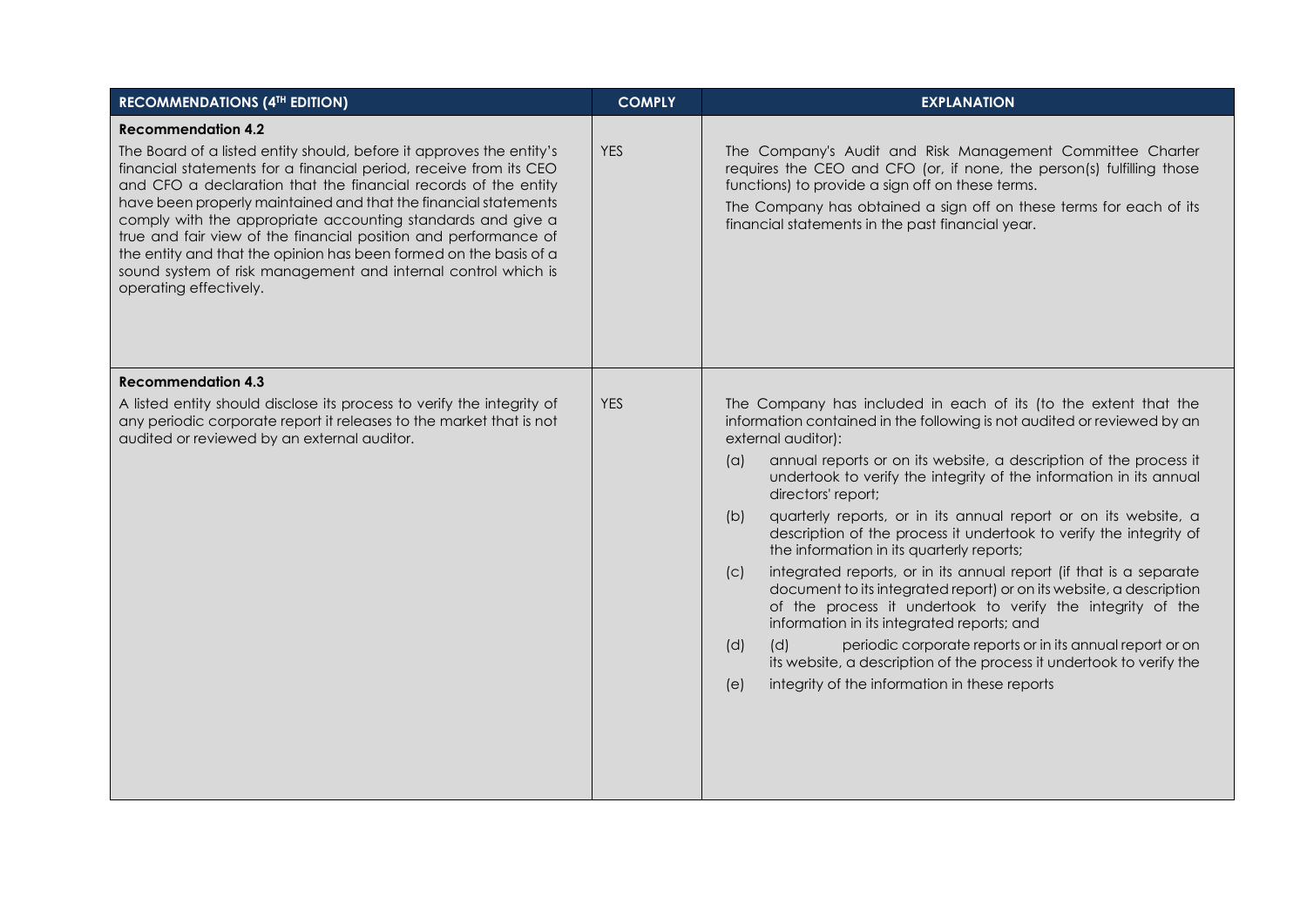| <b>RECOMMENDATIONS (4TH EDITION)</b>                                                                                                                                                                                                                                                                                                                                                                                                                                                                                                                                                                          | <b>COMPLY</b> | <b>EXPLANATION</b>                                                                                                                                                                                                                                                                                                                                                                                                                                                                                                                                                                                                                                                                                                                                                                                                                                                                                                                                                                                              |
|---------------------------------------------------------------------------------------------------------------------------------------------------------------------------------------------------------------------------------------------------------------------------------------------------------------------------------------------------------------------------------------------------------------------------------------------------------------------------------------------------------------------------------------------------------------------------------------------------------------|---------------|-----------------------------------------------------------------------------------------------------------------------------------------------------------------------------------------------------------------------------------------------------------------------------------------------------------------------------------------------------------------------------------------------------------------------------------------------------------------------------------------------------------------------------------------------------------------------------------------------------------------------------------------------------------------------------------------------------------------------------------------------------------------------------------------------------------------------------------------------------------------------------------------------------------------------------------------------------------------------------------------------------------------|
| <b>Recommendation 4.2</b><br>The Board of a listed entity should, before it approves the entity's<br>financial statements for a financial period, receive from its CEO<br>and CFO a declaration that the financial records of the entity<br>have been properly maintained and that the financial statements<br>comply with the appropriate accounting standards and give a<br>true and fair view of the financial position and performance of<br>the entity and that the opinion has been formed on the basis of a<br>sound system of risk management and internal control which is<br>operating effectively. | <b>YES</b>    | The Company's Audit and Risk Management Committee Charter<br>requires the CEO and CFO (or, if none, the person(s) fulfilling those<br>functions) to provide a sign off on these terms.<br>The Company has obtained a sign off on these terms for each of its<br>financial statements in the past financial year.                                                                                                                                                                                                                                                                                                                                                                                                                                                                                                                                                                                                                                                                                                |
| <b>Recommendation 4.3</b><br>A listed entity should disclose its process to verify the integrity of<br>any periodic corporate report it releases to the market that is not<br>audited or reviewed by an external auditor.                                                                                                                                                                                                                                                                                                                                                                                     | <b>YES</b>    | The Company has included in each of its (to the extent that the<br>information contained in the following is not audited or reviewed by an<br>external auditor):<br>(a)<br>annual reports or on its website, a description of the process it<br>undertook to verify the integrity of the information in its annual<br>directors' report;<br>quarterly reports, or in its annual report or on its website, a<br>(b)<br>description of the process it undertook to verify the integrity of<br>the information in its quarterly reports;<br>integrated reports, or in its annual report (if that is a separate<br>(C)<br>document to its integrated report) or on its website, a description<br>of the process it undertook to verify the integrity of the<br>information in its integrated reports; and<br>(d)<br>periodic corporate reports or in its annual report or on<br>(d)<br>its website, a description of the process it undertook to verify the<br>integrity of the information in these reports<br>(e) |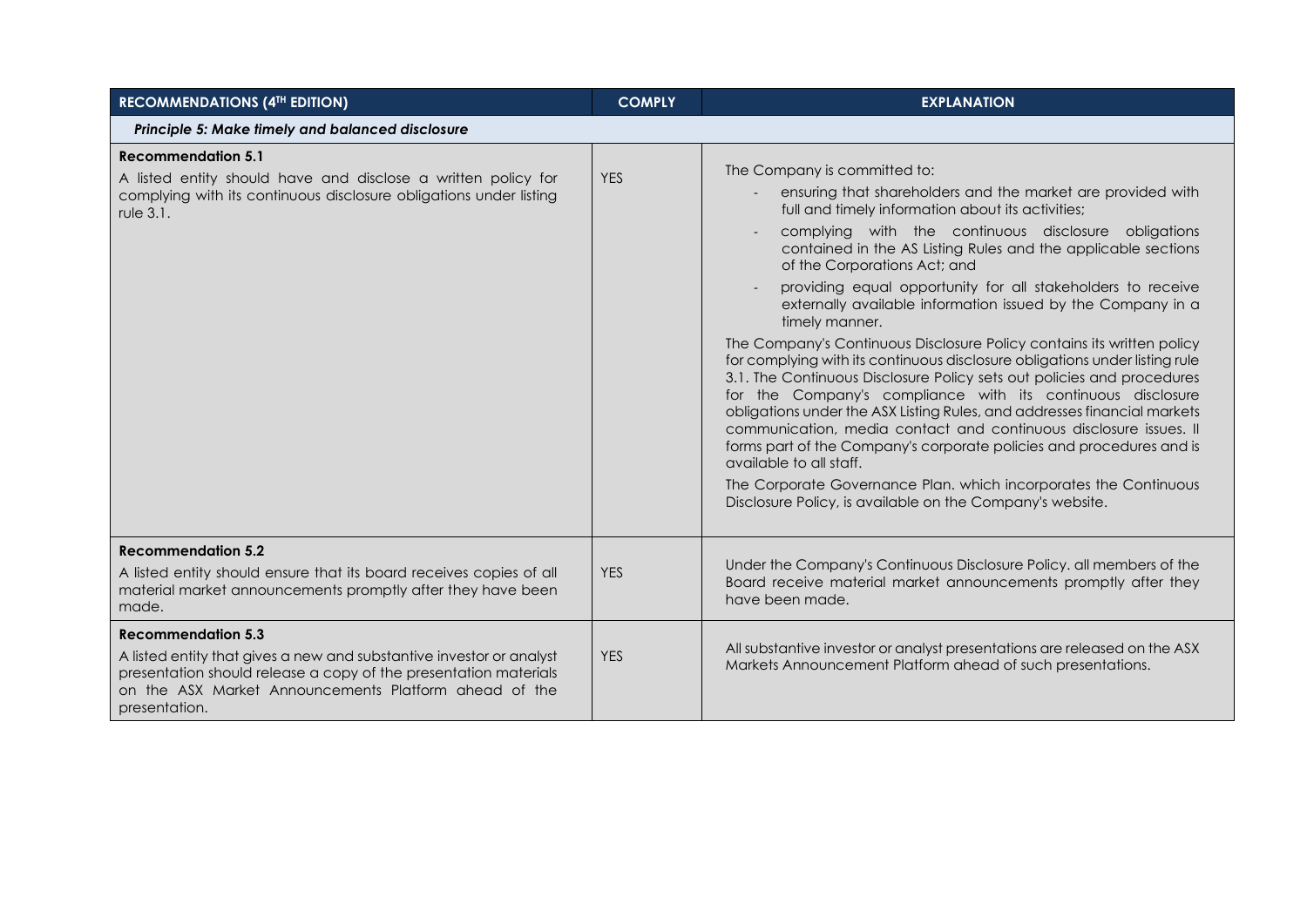| <b>RECOMMENDATIONS (4TH EDITION)</b>                                                                                                                                                                                                            | <b>COMPLY</b> | <b>EXPLANATION</b>                                                                                                                                                                                                                                                                                                                                                                                                                                                                                                                                                                                                                                                                                                                                                                                                                                                                                                                                                                                                                                                                                                                               |
|-------------------------------------------------------------------------------------------------------------------------------------------------------------------------------------------------------------------------------------------------|---------------|--------------------------------------------------------------------------------------------------------------------------------------------------------------------------------------------------------------------------------------------------------------------------------------------------------------------------------------------------------------------------------------------------------------------------------------------------------------------------------------------------------------------------------------------------------------------------------------------------------------------------------------------------------------------------------------------------------------------------------------------------------------------------------------------------------------------------------------------------------------------------------------------------------------------------------------------------------------------------------------------------------------------------------------------------------------------------------------------------------------------------------------------------|
| Principle 5: Make timely and balanced disclosure                                                                                                                                                                                                |               |                                                                                                                                                                                                                                                                                                                                                                                                                                                                                                                                                                                                                                                                                                                                                                                                                                                                                                                                                                                                                                                                                                                                                  |
| <b>Recommendation 5.1</b><br>A listed entity should have and disclose a written policy for<br>complying with its continuous disclosure obligations under listing<br>rule 3.1.                                                                   | <b>YES</b>    | The Company is committed to:<br>ensuring that shareholders and the market are provided with<br>full and timely information about its activities;<br>complying with the continuous disclosure obligations<br>contained in the AS Listing Rules and the applicable sections<br>of the Corporations Act; and<br>providing equal opportunity for all stakeholders to receive<br>externally available information issued by the Company in a<br>timely manner.<br>The Company's Continuous Disclosure Policy contains its written policy<br>for complying with its continuous disclosure obligations under listing rule<br>3.1. The Continuous Disclosure Policy sets out policies and procedures<br>for the Company's compliance with its continuous disclosure<br>obligations under the ASX Listing Rules, and addresses financial markets<br>communication, media contact and continuous disclosure issues. Il<br>forms part of the Company's corporate policies and procedures and is<br>available to all staff.<br>The Corporate Governance Plan. which incorporates the Continuous<br>Disclosure Policy, is available on the Company's website. |
| <b>Recommendation 5.2</b><br>A listed entity should ensure that its board receives copies of all<br>material market announcements promptly after they have been<br>made.                                                                        | <b>YES</b>    | Under the Company's Continuous Disclosure Policy. all members of the<br>Board receive material market announcements promptly after they<br>have been made.                                                                                                                                                                                                                                                                                                                                                                                                                                                                                                                                                                                                                                                                                                                                                                                                                                                                                                                                                                                       |
| <b>Recommendation 5.3</b><br>A listed entity that gives a new and substantive investor or analyst<br>presentation should release a copy of the presentation materials<br>on the ASX Market Announcements Platform ahead of the<br>presentation. | <b>YES</b>    | All substantive investor or analyst presentations are released on the ASX<br>Markets Announcement Platform ahead of such presentations.                                                                                                                                                                                                                                                                                                                                                                                                                                                                                                                                                                                                                                                                                                                                                                                                                                                                                                                                                                                                          |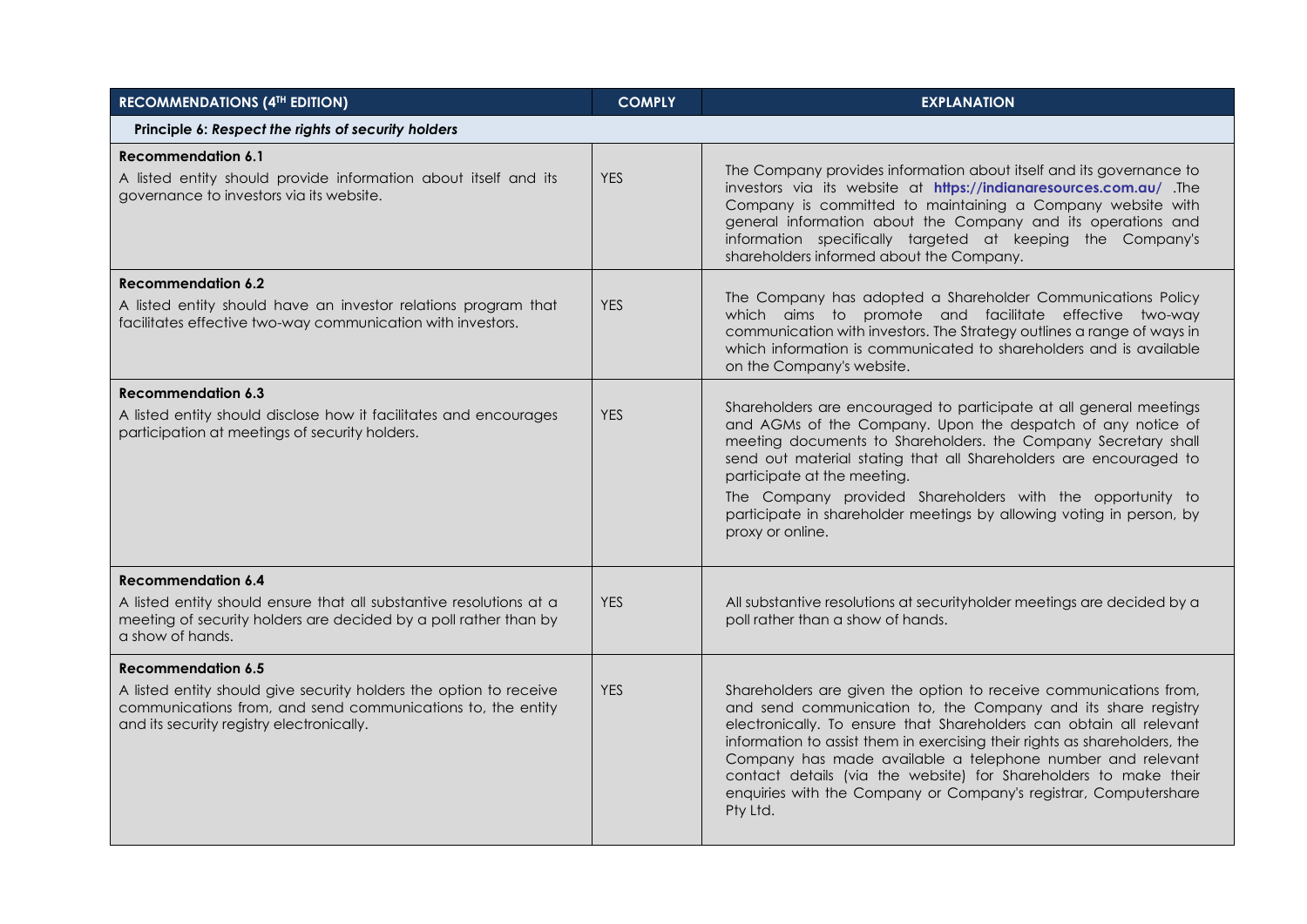| <b>RECOMMENDATIONS (4TH EDITION)</b>                                                                                                                                           | <b>COMPLY</b> | <b>EXPLANATION</b>                                                                                                                                                                                                                                                                                                                                                                                                                                                                                        |  |  |  |  |
|--------------------------------------------------------------------------------------------------------------------------------------------------------------------------------|---------------|-----------------------------------------------------------------------------------------------------------------------------------------------------------------------------------------------------------------------------------------------------------------------------------------------------------------------------------------------------------------------------------------------------------------------------------------------------------------------------------------------------------|--|--|--|--|
| Principle 6: Respect the rights of security holders                                                                                                                            |               |                                                                                                                                                                                                                                                                                                                                                                                                                                                                                                           |  |  |  |  |
| <b>Recommendation 6.1</b><br>A listed entity should provide information about itself and its<br>governance to investors via its website.                                       | <b>YES</b>    | The Company provides information about itself and its governance to<br>investors via its website at https://indianaresources.com.au/ .The<br>Company is committed to maintaining a Company website with<br>general information about the Company and its operations and<br>information specifically targeted at keeping the Company's<br>shareholders informed about the Company.                                                                                                                         |  |  |  |  |
| <b>Recommendation 6.2</b>                                                                                                                                                      |               | The Company has adopted a Shareholder Communications Policy                                                                                                                                                                                                                                                                                                                                                                                                                                               |  |  |  |  |
| A listed entity should have an investor relations program that<br>facilitates effective two-way communication with investors.                                                  | <b>YES</b>    | which aims to promote and facilitate effective two-way<br>communication with investors. The Strategy outlines a range of ways in<br>which information is communicated to shareholders and is available<br>on the Company's website.                                                                                                                                                                                                                                                                       |  |  |  |  |
| <b>Recommendation 6.3</b>                                                                                                                                                      |               |                                                                                                                                                                                                                                                                                                                                                                                                                                                                                                           |  |  |  |  |
| A listed entity should disclose how it facilitates and encourages<br>participation at meetings of security holders.                                                            | <b>YES</b>    | Shareholders are encouraged to participate at all general meetings<br>and AGMs of the Company. Upon the despatch of any notice of<br>meeting documents to Shareholders. the Company Secretary shall<br>send out material stating that all Shareholders are encouraged to<br>participate at the meeting.<br>The Company provided Shareholders with the opportunity to<br>participate in shareholder meetings by allowing voting in person, by<br>proxy or online.                                          |  |  |  |  |
| <b>Recommendation 6.4</b>                                                                                                                                                      |               |                                                                                                                                                                                                                                                                                                                                                                                                                                                                                                           |  |  |  |  |
| A listed entity should ensure that all substantive resolutions at a<br>meeting of security holders are decided by a poll rather than by<br>a show of hands.                    | <b>YES</b>    | All substantive resolutions at security holder meetings are decided by a<br>poll rather than a show of hands.                                                                                                                                                                                                                                                                                                                                                                                             |  |  |  |  |
| <b>Recommendation 6.5</b>                                                                                                                                                      |               |                                                                                                                                                                                                                                                                                                                                                                                                                                                                                                           |  |  |  |  |
| A listed entity should give security holders the option to receive<br>communications from, and send communications to, the entity<br>and its security registry electronically. | <b>YES</b>    | Shareholders are given the option to receive communications from,<br>and send communication to, the Company and its share registry<br>electronically. To ensure that Shareholders can obtain all relevant<br>information to assist them in exercising their rights as shareholders, the<br>Company has made available a telephone number and relevant<br>contact details (via the website) for Shareholders to make their<br>enquiries with the Company or Company's registrar, Computershare<br>Pty Ltd. |  |  |  |  |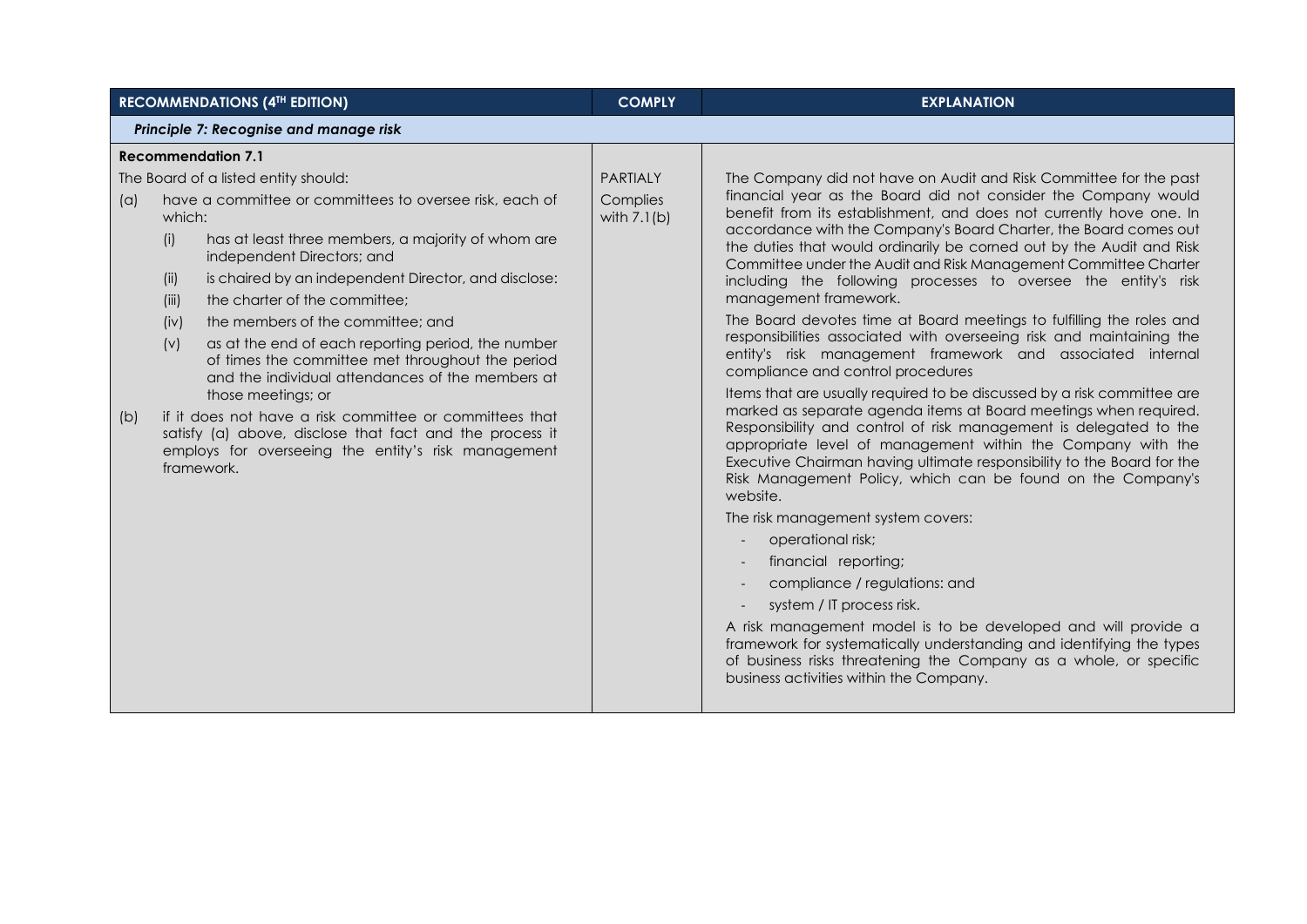|                                        | <b>RECOMMENDATIONS (4TH EDITION)</b>                                                                                                                                                                                                                                                                                                                                                                                                                                                                                                                                                                                                                                                                                                               | <b>COMPLY</b>                                | <b>EXPLANATION</b>                                                                                                                                                                                                                                                                                                                                                                                                                                                                                                                                                                                                                                                                                                                                                                                                                                                                                                                                                                                                                                                                                                                                                                                                                                                                                                                                                                                                                                                                                                                                                                                                        |  |  |  |
|----------------------------------------|----------------------------------------------------------------------------------------------------------------------------------------------------------------------------------------------------------------------------------------------------------------------------------------------------------------------------------------------------------------------------------------------------------------------------------------------------------------------------------------------------------------------------------------------------------------------------------------------------------------------------------------------------------------------------------------------------------------------------------------------------|----------------------------------------------|---------------------------------------------------------------------------------------------------------------------------------------------------------------------------------------------------------------------------------------------------------------------------------------------------------------------------------------------------------------------------------------------------------------------------------------------------------------------------------------------------------------------------------------------------------------------------------------------------------------------------------------------------------------------------------------------------------------------------------------------------------------------------------------------------------------------------------------------------------------------------------------------------------------------------------------------------------------------------------------------------------------------------------------------------------------------------------------------------------------------------------------------------------------------------------------------------------------------------------------------------------------------------------------------------------------------------------------------------------------------------------------------------------------------------------------------------------------------------------------------------------------------------------------------------------------------------------------------------------------------------|--|--|--|
| Principle 7: Recognise and manage risk |                                                                                                                                                                                                                                                                                                                                                                                                                                                                                                                                                                                                                                                                                                                                                    |                                              |                                                                                                                                                                                                                                                                                                                                                                                                                                                                                                                                                                                                                                                                                                                                                                                                                                                                                                                                                                                                                                                                                                                                                                                                                                                                                                                                                                                                                                                                                                                                                                                                                           |  |  |  |
|                                        | <b>Recommendation 7.1</b>                                                                                                                                                                                                                                                                                                                                                                                                                                                                                                                                                                                                                                                                                                                          |                                              |                                                                                                                                                                                                                                                                                                                                                                                                                                                                                                                                                                                                                                                                                                                                                                                                                                                                                                                                                                                                                                                                                                                                                                                                                                                                                                                                                                                                                                                                                                                                                                                                                           |  |  |  |
| (a)<br>(b)                             | The Board of a listed entity should:<br>have a committee or committees to oversee risk, each of<br>which:<br>has at least three members, a majority of whom are<br>(i)<br>independent Directors; and<br>is chaired by an independent Director, and disclose:<br>(ii)<br>the charter of the committee;<br>(iii)<br>the members of the committee; and<br>(iv)<br>as at the end of each reporting period, the number<br>(v)<br>of times the committee met throughout the period<br>and the individual attendances of the members at<br>those meetings; or<br>if it does not have a risk committee or committees that<br>satisfy (a) above, disclose that fact and the process it<br>employs for overseeing the entity's risk management<br>framework. | <b>PARTIALY</b><br>Complies<br>with $7.1(b)$ | The Company did not have on Audit and Risk Committee for the past<br>financial year as the Board did not consider the Company would<br>benefit from its establishment, and does not currently hove one. In<br>accordance with the Company's Board Charter, the Board comes out<br>the duties that would ordinarily be corned out by the Audit and Risk<br>Committee under the Audit and Risk Management Committee Charter<br>including the following processes to oversee the entity's risk<br>management framework.<br>The Board devotes time at Board meetings to fulfilling the roles and<br>responsibilities associated with overseeing risk and maintaining the<br>entity's risk management framework and associated internal<br>compliance and control procedures<br>Items that are usually required to be discussed by a risk committee are<br>marked as separate agenda items at Board meetings when required.<br>Responsibility and control of risk management is delegated to the<br>appropriate level of management within the Company with the<br>Executive Chairman having ultimate responsibility to the Board for the<br>Risk Management Policy, which can be found on the Company's<br>website.<br>The risk management system covers:<br>operational risk;<br>financial reporting;<br>compliance / regulations: and<br>system / IT process risk.<br>A risk management model is to be developed and will provide a<br>framework for systematically understanding and identifying the types<br>of business risks threatening the Company as a whole, or specific<br>business activities within the Company. |  |  |  |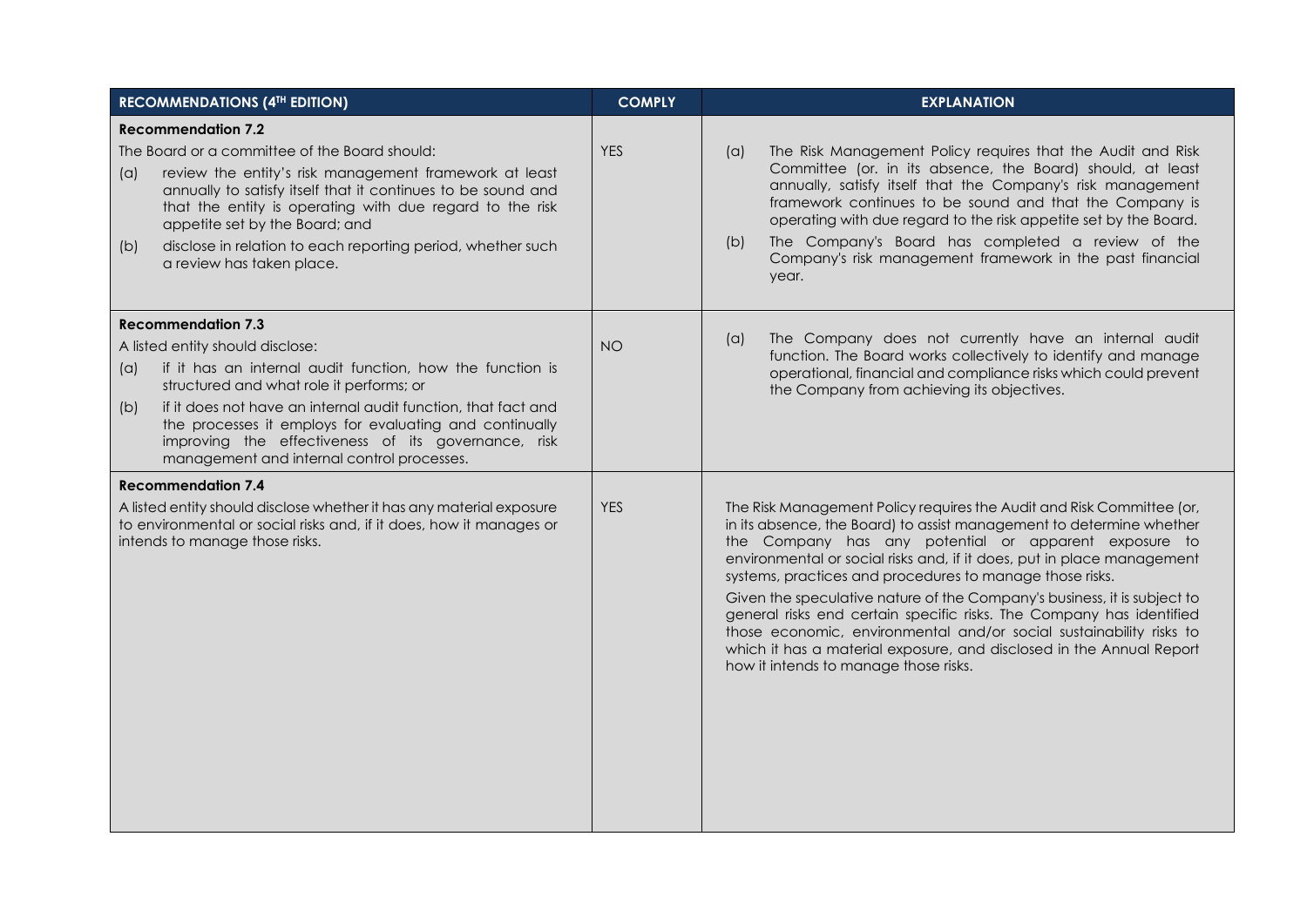| <b>RECOMMENDATIONS (4TH EDITION)</b>                                                                                                                                          |                                                                                                                                                                                                                                                                                                                                                                   | <b>COMPLY</b> | <b>EXPLANATION</b>                                                                                                                                                                                                                                                                                                                                                                                                                                                                                                                                                                                                                                                                       |  |  |
|-------------------------------------------------------------------------------------------------------------------------------------------------------------------------------|-------------------------------------------------------------------------------------------------------------------------------------------------------------------------------------------------------------------------------------------------------------------------------------------------------------------------------------------------------------------|---------------|------------------------------------------------------------------------------------------------------------------------------------------------------------------------------------------------------------------------------------------------------------------------------------------------------------------------------------------------------------------------------------------------------------------------------------------------------------------------------------------------------------------------------------------------------------------------------------------------------------------------------------------------------------------------------------------|--|--|
|                                                                                                                                                                               | <b>Recommendation 7.2</b>                                                                                                                                                                                                                                                                                                                                         |               |                                                                                                                                                                                                                                                                                                                                                                                                                                                                                                                                                                                                                                                                                          |  |  |
| (a)<br>(b)                                                                                                                                                                    | The Board or a committee of the Board should:<br>review the entity's risk management framework at least<br>annually to satisfy itself that it continues to be sound and<br>that the entity is operating with due regard to the risk<br>appetite set by the Board; and<br>disclose in relation to each reporting period, whether such<br>a review has taken place. | <b>YES</b>    | The Risk Management Policy requires that the Audit and Risk<br>(a)<br>Committee (or. in its absence, the Board) should, at least<br>annually, satisfy itself that the Company's risk management<br>framework continues to be sound and that the Company is<br>operating with due regard to the risk appetite set by the Board.<br>The Company's Board has completed a review of the<br>(b)<br>Company's risk management framework in the past financial<br>year.                                                                                                                                                                                                                         |  |  |
|                                                                                                                                                                               | <b>Recommendation 7.3</b>                                                                                                                                                                                                                                                                                                                                         |               |                                                                                                                                                                                                                                                                                                                                                                                                                                                                                                                                                                                                                                                                                          |  |  |
|                                                                                                                                                                               | A listed entity should disclose:                                                                                                                                                                                                                                                                                                                                  | <b>NO</b>     | The Company does not currently have an internal audit<br>(a)<br>function. The Board works collectively to identify and manage                                                                                                                                                                                                                                                                                                                                                                                                                                                                                                                                                            |  |  |
| (a)                                                                                                                                                                           | if it has an internal audit function, how the function is<br>structured and what role it performs; or                                                                                                                                                                                                                                                             |               | operational, financial and compliance risks which could prevent<br>the Company from achieving its objectives.                                                                                                                                                                                                                                                                                                                                                                                                                                                                                                                                                                            |  |  |
| (b)                                                                                                                                                                           | if it does not have an internal audit function, that fact and<br>the processes it employs for evaluating and continually<br>improving the effectiveness of its governance, risk<br>management and internal control processes.                                                                                                                                     |               |                                                                                                                                                                                                                                                                                                                                                                                                                                                                                                                                                                                                                                                                                          |  |  |
|                                                                                                                                                                               | <b>Recommendation 7.4</b>                                                                                                                                                                                                                                                                                                                                         |               |                                                                                                                                                                                                                                                                                                                                                                                                                                                                                                                                                                                                                                                                                          |  |  |
| A listed entity should disclose whether it has any material exposure<br>to environmental or social risks and, if it does, how it manages or<br>intends to manage those risks. |                                                                                                                                                                                                                                                                                                                                                                   | <b>YES</b>    | The Risk Management Policy requires the Audit and Risk Committee (or,<br>in its absence, the Board) to assist management to determine whether<br>the Company has any potential or apparent exposure to<br>environmental or social risks and, if it does, put in place management<br>systems, practices and procedures to manage those risks.<br>Given the speculative nature of the Company's business, it is subject to<br>general risks end certain specific risks. The Company has identified<br>those economic, environmental and/or social sustainability risks to<br>which it has a material exposure, and disclosed in the Annual Report<br>how it intends to manage those risks. |  |  |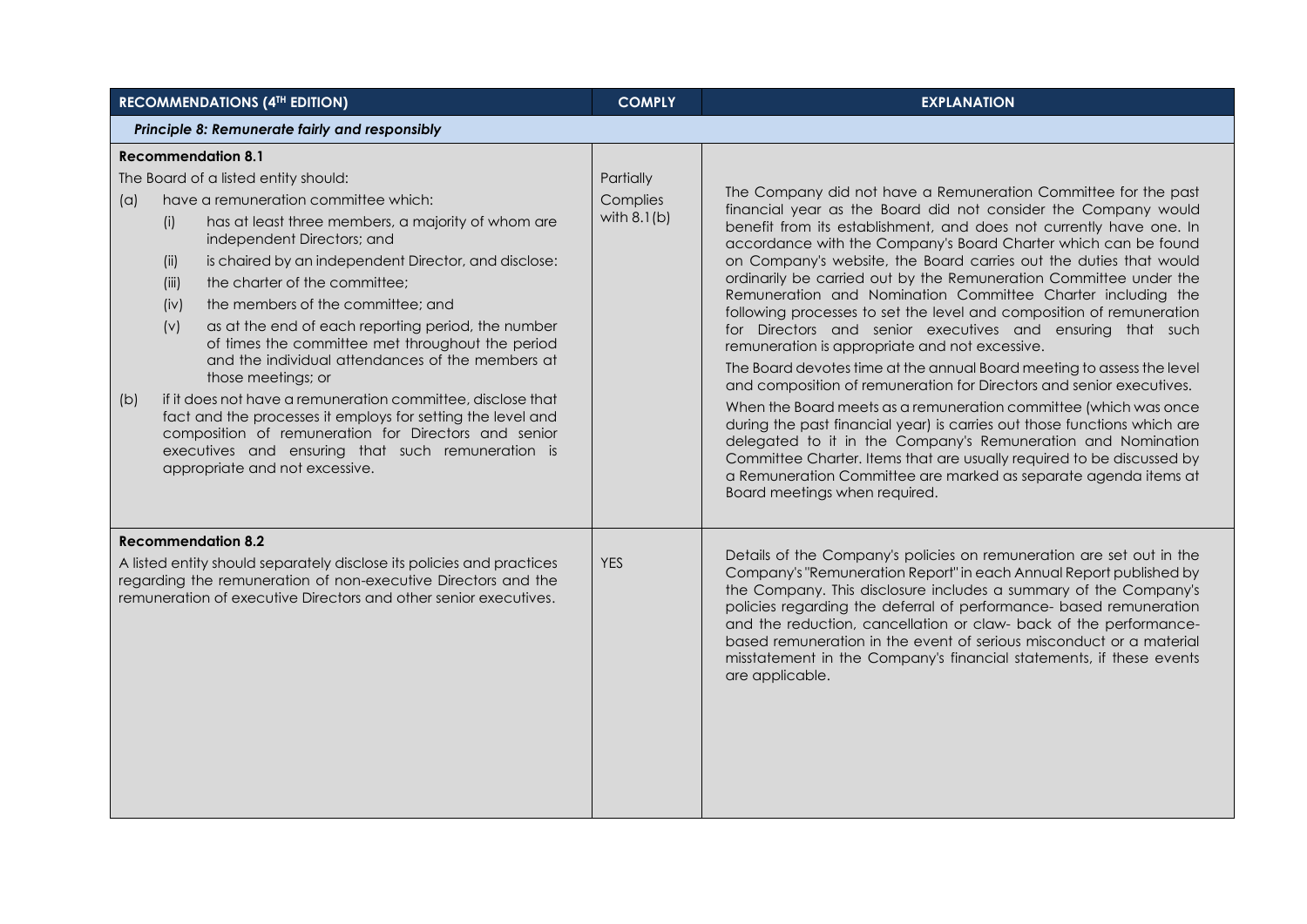| <b>RECOMMENDATIONS (4TH EDITION)</b>                                                                                                                                                                                                                                                                                                                                                                                                                                                                                                                                                                                                                                                                                                                                                                                                              | <b>COMPLY</b>                          | <b>EXPLANATION</b>                                                                                                                                                                                                                                                                                                                                                                                                                                                                                                                                                                                                                                                                                                                                                                                                                                                                                                                                                                                                                                                                                                                                                                                                        |  |  |  |  |
|---------------------------------------------------------------------------------------------------------------------------------------------------------------------------------------------------------------------------------------------------------------------------------------------------------------------------------------------------------------------------------------------------------------------------------------------------------------------------------------------------------------------------------------------------------------------------------------------------------------------------------------------------------------------------------------------------------------------------------------------------------------------------------------------------------------------------------------------------|----------------------------------------|---------------------------------------------------------------------------------------------------------------------------------------------------------------------------------------------------------------------------------------------------------------------------------------------------------------------------------------------------------------------------------------------------------------------------------------------------------------------------------------------------------------------------------------------------------------------------------------------------------------------------------------------------------------------------------------------------------------------------------------------------------------------------------------------------------------------------------------------------------------------------------------------------------------------------------------------------------------------------------------------------------------------------------------------------------------------------------------------------------------------------------------------------------------------------------------------------------------------------|--|--|--|--|
| Principle 8: Remunerate fairly and responsibly                                                                                                                                                                                                                                                                                                                                                                                                                                                                                                                                                                                                                                                                                                                                                                                                    |                                        |                                                                                                                                                                                                                                                                                                                                                                                                                                                                                                                                                                                                                                                                                                                                                                                                                                                                                                                                                                                                                                                                                                                                                                                                                           |  |  |  |  |
| <b>Recommendation 8.1</b><br>The Board of a listed entity should:<br>have a remuneration committee which:<br>(a)<br>has at least three members, a majority of whom are<br>(i)<br>independent Directors; and<br>is chaired by an independent Director, and disclose:<br>(ii)<br>the charter of the committee;<br>(iii)<br>the members of the committee; and<br>(iv)<br>(v)<br>as at the end of each reporting period, the number<br>of times the committee met throughout the period<br>and the individual attendances of the members at<br>those meetings; or<br>if it does not have a remuneration committee, disclose that<br>(b)<br>fact and the processes it employs for setting the level and<br>composition of remuneration for Directors and senior<br>executives and ensuring that such remuneration is<br>appropriate and not excessive. | Partially<br>Complies<br>with $8.1(b)$ | The Company did not have a Remuneration Committee for the past<br>financial year as the Board did not consider the Company would<br>benefit from its establishment, and does not currently have one. In<br>accordance with the Company's Board Charter which can be found<br>on Company's website, the Board carries out the duties that would<br>ordinarily be carried out by the Remuneration Committee under the<br>Remuneration and Nomination Committee Charter including the<br>following processes to set the level and composition of remuneration<br>for Directors and senior executives and ensuring that such<br>remuneration is appropriate and not excessive.<br>The Board devotes time at the annual Board meeting to assess the level<br>and composition of remuneration for Directors and senior executives.<br>When the Board meets as a remuneration committee (which was once<br>during the past financial year) is carries out those functions which are<br>delegated to it in the Company's Remuneration and Nomination<br>Committee Charter. Items that are usually required to be discussed by<br>a Remuneration Committee are marked as separate agenda items at<br>Board meetings when required. |  |  |  |  |
| <b>Recommendation 8.2</b><br>A listed entity should separately disclose its policies and practices<br>regarding the remuneration of non-executive Directors and the<br>remuneration of executive Directors and other senior executives.                                                                                                                                                                                                                                                                                                                                                                                                                                                                                                                                                                                                           | <b>YES</b>                             | Details of the Company's policies on remuneration are set out in the<br>Company's "Remuneration Report" in each Annual Report published by<br>the Company. This disclosure includes a summary of the Company's<br>policies regarding the deferral of performance- based remuneration<br>and the reduction, cancellation or claw- back of the performance-<br>based remuneration in the event of serious misconduct or a material<br>misstatement in the Company's financial statements, if these events<br>are applicable.                                                                                                                                                                                                                                                                                                                                                                                                                                                                                                                                                                                                                                                                                                |  |  |  |  |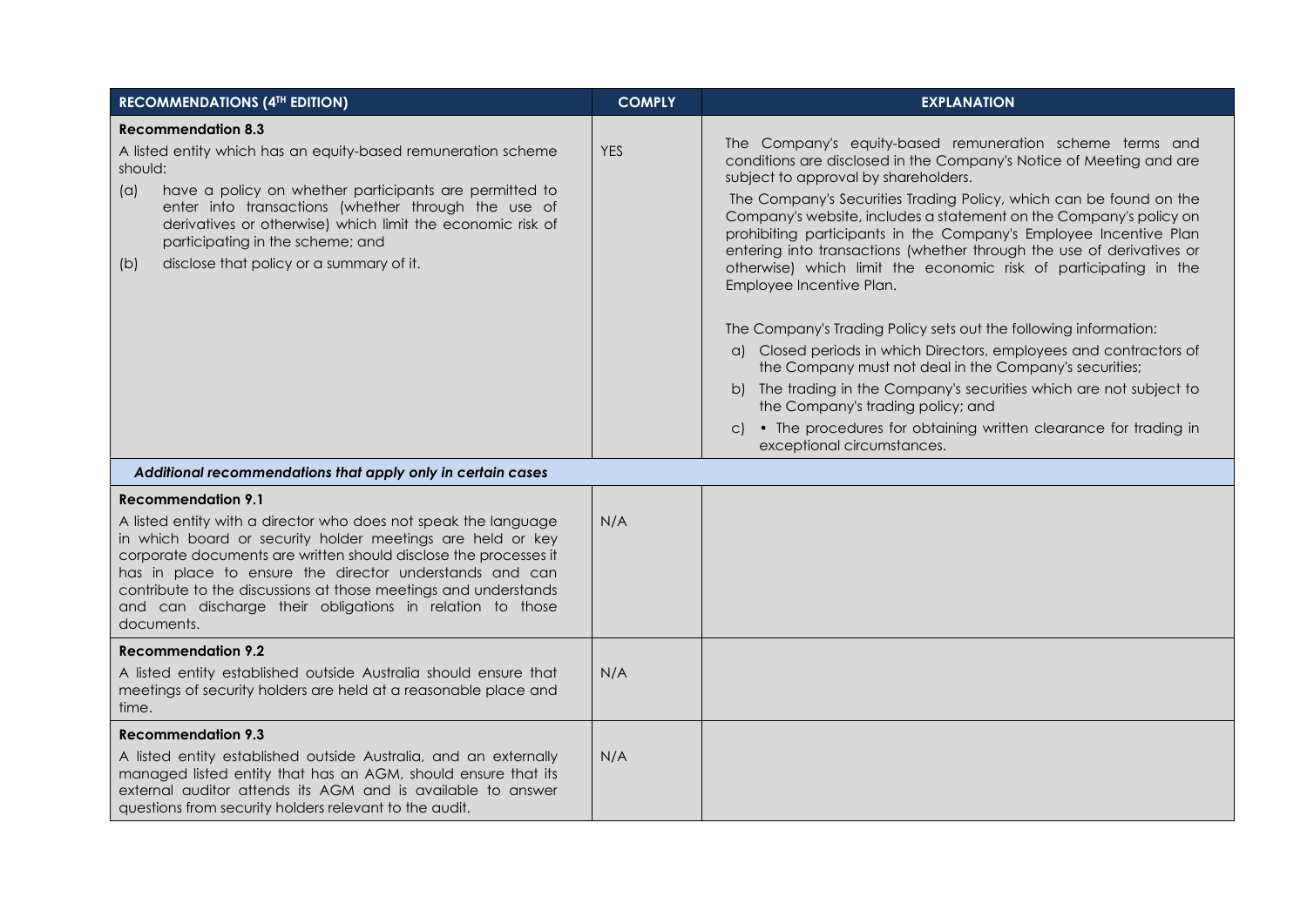| <b>RECOMMENDATIONS (4TH EDITION)</b>                                                                                                                                                                                                                                                                                                                                                                                                   | <b>COMPLY</b> | <b>EXPLANATION</b>                                                                                                                                                                                                                                                                                                                                                                                                                                                                                                                                                                                                                                                                                                                                                                                                                                                                                                                                                                                 |
|----------------------------------------------------------------------------------------------------------------------------------------------------------------------------------------------------------------------------------------------------------------------------------------------------------------------------------------------------------------------------------------------------------------------------------------|---------------|----------------------------------------------------------------------------------------------------------------------------------------------------------------------------------------------------------------------------------------------------------------------------------------------------------------------------------------------------------------------------------------------------------------------------------------------------------------------------------------------------------------------------------------------------------------------------------------------------------------------------------------------------------------------------------------------------------------------------------------------------------------------------------------------------------------------------------------------------------------------------------------------------------------------------------------------------------------------------------------------------|
| <b>Recommendation 8.3</b><br>A listed entity which has an equity-based remuneration scheme<br>should:<br>have a policy on whether participants are permitted to<br>(a)<br>enter into transactions (whether through the use of<br>derivatives or otherwise) which limit the economic risk of<br>participating in the scheme; and<br>disclose that policy or a summary of it.<br>(b)                                                     | <b>YES</b>    | The Company's equity-based remuneration scheme terms and<br>conditions are disclosed in the Company's Notice of Meeting and are<br>subject to approval by shareholders.<br>The Company's Securities Trading Policy, which can be found on the<br>Company's website, includes a statement on the Company's policy on<br>prohibiting participants in the Company's Employee Incentive Plan<br>entering into transactions (whether through the use of derivatives or<br>otherwise) which limit the economic risk of participating in the<br>Employee Incentive Plan.<br>The Company's Trading Policy sets out the following information:<br>a) Closed periods in which Directors, employees and contractors of<br>the Company must not deal in the Company's securities;<br>b) The trading in the Company's securities which are not subject to<br>the Company's trading policy; and<br>• The procedures for obtaining written clearance for trading in<br>$\mathsf{C}$<br>exceptional circumstances. |
| Additional recommendations that apply only in certain cases                                                                                                                                                                                                                                                                                                                                                                            |               |                                                                                                                                                                                                                                                                                                                                                                                                                                                                                                                                                                                                                                                                                                                                                                                                                                                                                                                                                                                                    |
| <b>Recommendation 9.1</b><br>A listed entity with a director who does not speak the language<br>in which board or security holder meetings are held or key<br>corporate documents are written should disclose the processes it<br>has in place to ensure the director understands and can<br>contribute to the discussions at those meetings and understands<br>and can discharge their obligations in relation to those<br>documents. | N/A           |                                                                                                                                                                                                                                                                                                                                                                                                                                                                                                                                                                                                                                                                                                                                                                                                                                                                                                                                                                                                    |
| <b>Recommendation 9.2</b><br>A listed entity established outside Australia should ensure that<br>meetings of security holders are held at a reasonable place and<br>time.                                                                                                                                                                                                                                                              | N/A           |                                                                                                                                                                                                                                                                                                                                                                                                                                                                                                                                                                                                                                                                                                                                                                                                                                                                                                                                                                                                    |
| <b>Recommendation 9.3</b><br>A listed entity established outside Australia, and an externally<br>managed listed entity that has an AGM, should ensure that its<br>external auditor attends its AGM and is available to answer<br>questions from security holders relevant to the audit.                                                                                                                                                | N/A           |                                                                                                                                                                                                                                                                                                                                                                                                                                                                                                                                                                                                                                                                                                                                                                                                                                                                                                                                                                                                    |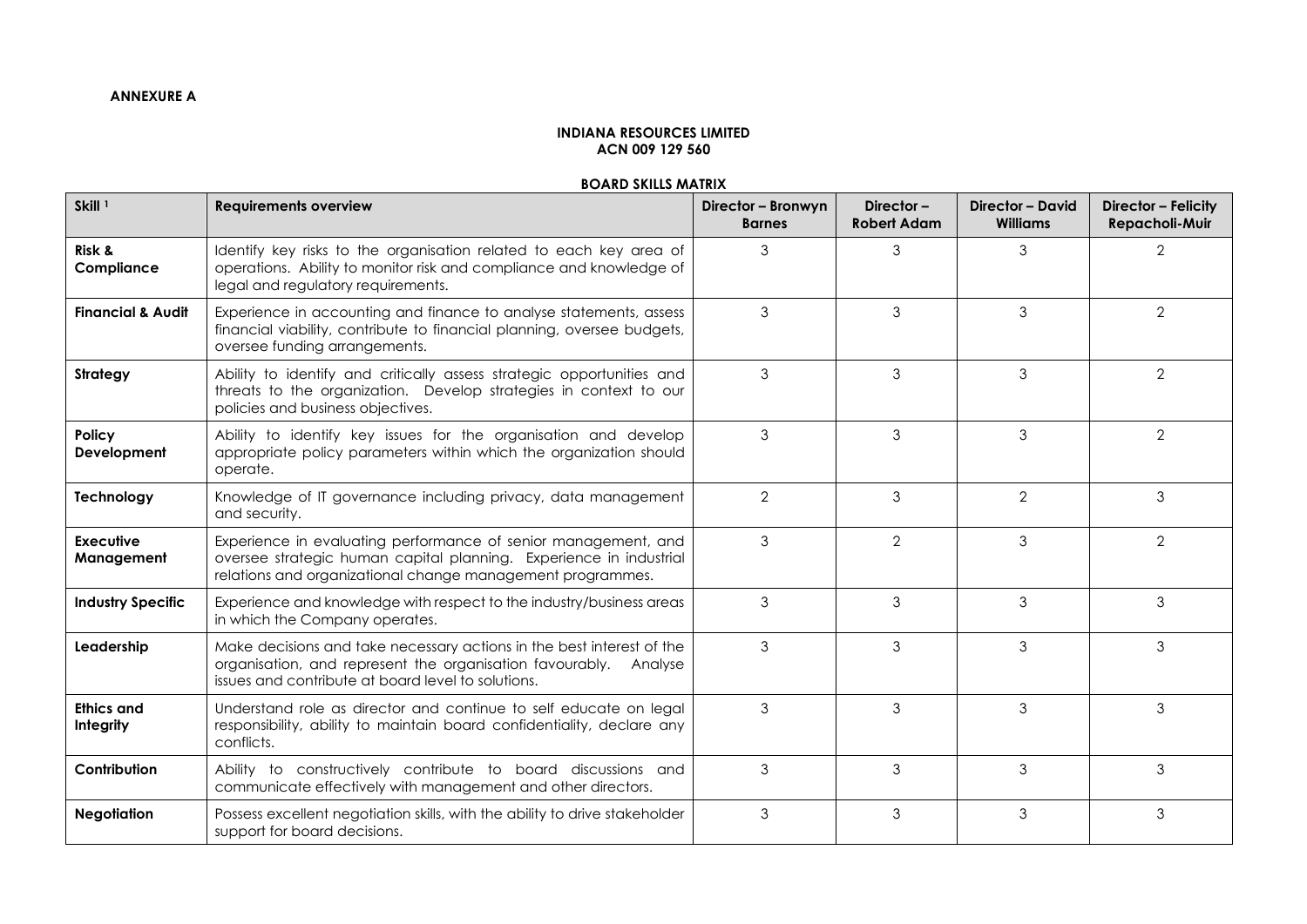# **INDIANA RESOURCES LIMITED ACN 009 129 560**

## **BOARD SKILLS MATRIX**

| Skill <sup>1</sup>             | <b>Requirements overview</b>                                                                                                                                                                       | Director - Bronwyn<br><b>Barnes</b> | Director-<br><b>Robert Adam</b> | <b>Director - David</b><br><b>Williams</b> | Director - Felicity<br>Repacholi-Muir |
|--------------------------------|----------------------------------------------------------------------------------------------------------------------------------------------------------------------------------------------------|-------------------------------------|---------------------------------|--------------------------------------------|---------------------------------------|
| Risk &<br>Compliance           | Identify key risks to the organisation related to each key area of<br>operations. Ability to monitor risk and compliance and knowledge of<br>legal and regulatory requirements.                    | 3                                   | 3                               | 3                                          | $\overline{2}$                        |
| <b>Financial &amp; Audit</b>   | Experience in accounting and finance to analyse statements, assess<br>financial viability, contribute to financial planning, oversee budgets,<br>oversee funding arrangements.                     | 3                                   | 3                               | 3                                          | $\overline{2}$                        |
| Strategy                       | Ability to identify and critically assess strategic opportunities and<br>threats to the organization. Develop strategies in context to our<br>policies and business objectives.                    | 3                                   | 3                               | 3                                          | $\overline{2}$                        |
| Policy<br>Development          | Ability to identify key issues for the organisation and develop<br>appropriate policy parameters within which the organization should<br>operate.                                                  | 3                                   | 3                               | 3                                          | 2                                     |
| Technology                     | Knowledge of IT governance including privacy, data management<br>and security.                                                                                                                     | $\overline{2}$                      | 3                               | $\overline{2}$                             | 3                                     |
| Executive<br>Management        | Experience in evaluating performance of senior management, and<br>oversee strategic human capital planning. Experience in industrial<br>relations and organizational change management programmes. | 3                                   | $\overline{2}$                  | 3                                          | $\overline{2}$                        |
| <b>Industry Specific</b>       | Experience and knowledge with respect to the industry/business areas<br>in which the Company operates.                                                                                             | 3                                   | 3                               | 3                                          | 3                                     |
| Leadership                     | Make decisions and take necessary actions in the best interest of the<br>organisation, and represent the organisation favourably. Analyse<br>issues and contribute at board level to solutions.    | 3                                   | 3                               | 3                                          | 3                                     |
| <b>Ethics and</b><br>Integrity | Understand role as director and continue to self educate on legal<br>responsibility, ability to maintain board confidentiality, declare any<br>conflicts.                                          | 3                                   | 3                               | 3                                          | 3                                     |
| Contribution                   | Ability to constructively contribute to board discussions and<br>communicate effectively with management and other directors.                                                                      | 3                                   | 3                               | 3                                          | $\mathfrak{S}$                        |
| <b>Negotiation</b>             | Possess excellent negotiation skills, with the ability to drive stakeholder<br>support for board decisions.                                                                                        | 3                                   | 3                               | 3                                          | 3                                     |